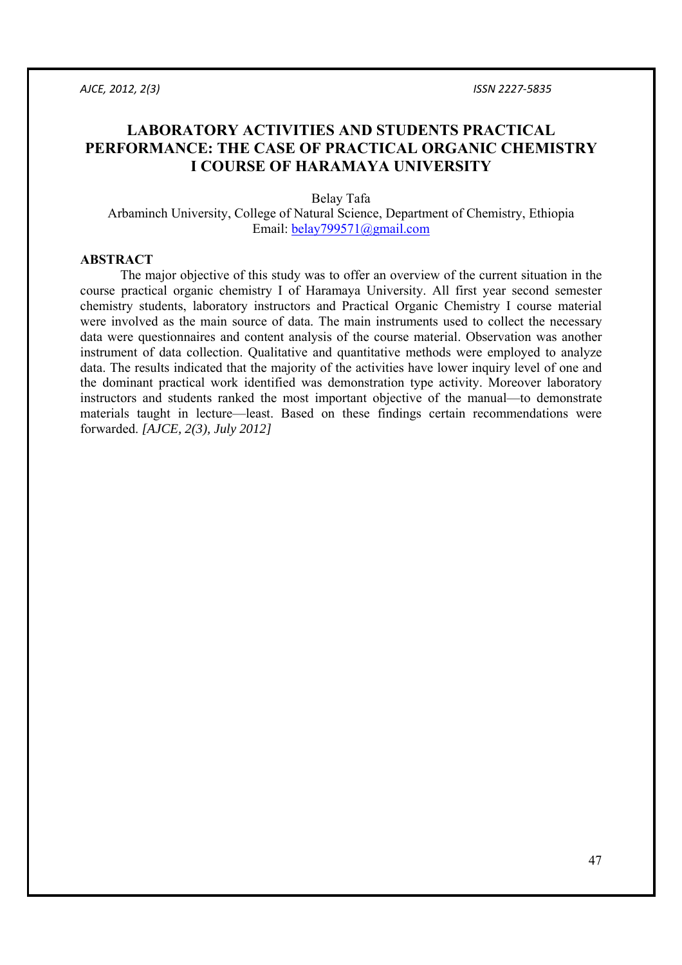# **LABORATORY ACTIVITIES AND STUDENTS PRACTICAL PERFORMANCE: THE CASE OF PRACTICAL ORGANIC CHEMISTRY I COURSE OF HARAMAYA UNIVERSITY**

Belay Tafa Arbaminch University, College of Natural Science, Department of Chemistry, Ethiopia Email: belay799571@gmail.com

#### **ABSTRACT**

 The major objective of this study was to offer an overview of the current situation in the course practical organic chemistry I of Haramaya University. All first year second semester chemistry students, laboratory instructors and Practical Organic Chemistry I course material were involved as the main source of data. The main instruments used to collect the necessary data were questionnaires and content analysis of the course material. Observation was another instrument of data collection. Qualitative and quantitative methods were employed to analyze data. The results indicated that the majority of the activities have lower inquiry level of one and the dominant practical work identified was demonstration type activity. Moreover laboratory instructors and students ranked the most important objective of the manual—to demonstrate materials taught in lecture—least. Based on these findings certain recommendations were forwarded. *[AJCE, 2(3), July 2012]*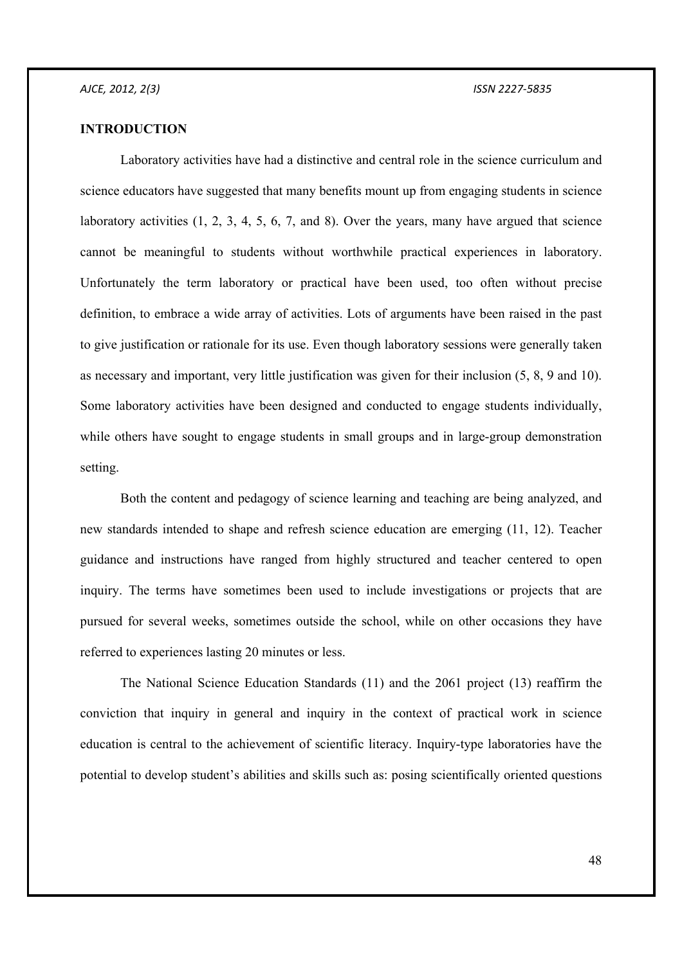## **INTRODUCTION**

 Laboratory activities have had a distinctive and central role in the science curriculum and science educators have suggested that many benefits mount up from engaging students in science laboratory activities  $(1, 2, 3, 4, 5, 6, 7, 4, 8)$ . Over the years, many have argued that science cannot be meaningful to students without worthwhile practical experiences in laboratory. Unfortunately the term laboratory or practical have been used, too often without precise definition, to embrace a wide array of activities. Lots of arguments have been raised in the past to give justification or rationale for its use. Even though laboratory sessions were generally taken as necessary and important, very little justification was given for their inclusion (5, 8, 9 and 10). Some laboratory activities have been designed and conducted to engage students individually, while others have sought to engage students in small groups and in large-group demonstration setting.

 Both the content and pedagogy of science learning and teaching are being analyzed, and new standards intended to shape and refresh science education are emerging (11, 12). Teacher guidance and instructions have ranged from highly structured and teacher centered to open inquiry. The terms have sometimes been used to include investigations or projects that are pursued for several weeks, sometimes outside the school, while on other occasions they have referred to experiences lasting 20 minutes or less.

 The National Science Education Standards (11) and the 2061 project (13) reaffirm the conviction that inquiry in general and inquiry in the context of practical work in science education is central to the achievement of scientific literacy. Inquiry-type laboratories have the potential to develop student's abilities and skills such as: posing scientifically oriented questions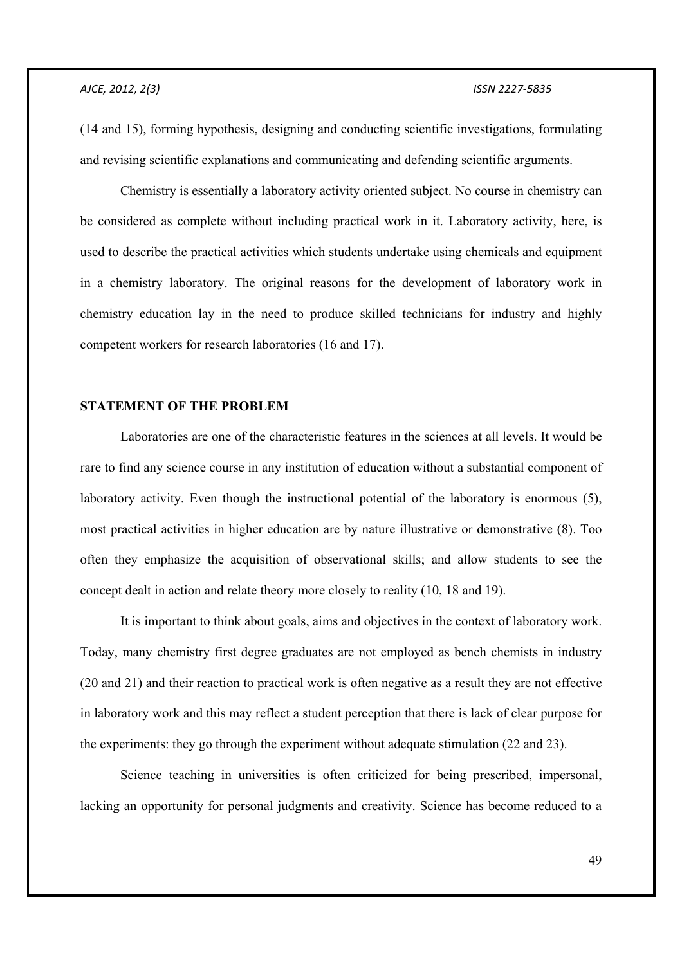(14 and 15), forming hypothesis, designing and conducting scientific investigations, formulating and revising scientific explanations and communicating and defending scientific arguments.

 Chemistry is essentially a laboratory activity oriented subject. No course in chemistry can be considered as complete without including practical work in it. Laboratory activity, here, is used to describe the practical activities which students undertake using chemicals and equipment in a chemistry laboratory. The original reasons for the development of laboratory work in chemistry education lay in the need to produce skilled technicians for industry and highly competent workers for research laboratories (16 and 17).

## **STATEMENT OF THE PROBLEM**

 Laboratories are one of the characteristic features in the sciences at all levels. It would be rare to find any science course in any institution of education without a substantial component of laboratory activity. Even though the instructional potential of the laboratory is enormous (5), most practical activities in higher education are by nature illustrative or demonstrative (8). Too often they emphasize the acquisition of observational skills; and allow students to see the concept dealt in action and relate theory more closely to reality (10, 18 and 19).

 It is important to think about goals, aims and objectives in the context of laboratory work. Today, many chemistry first degree graduates are not employed as bench chemists in industry (20 and 21) and their reaction to practical work is often negative as a result they are not effective in laboratory work and this may reflect a student perception that there is lack of clear purpose for the experiments: they go through the experiment without adequate stimulation (22 and 23).

 Science teaching in universities is often criticized for being prescribed, impersonal, lacking an opportunity for personal judgments and creativity. Science has become reduced to a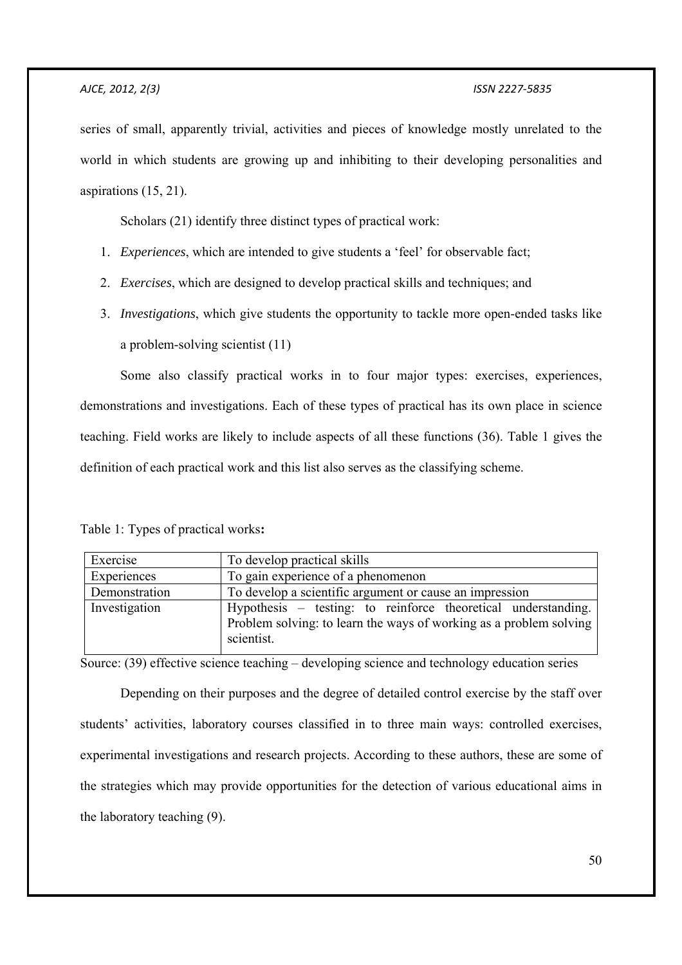series of small, apparently trivial, activities and pieces of knowledge mostly unrelated to the world in which students are growing up and inhibiting to their developing personalities and aspirations (15, 21).

Scholars (21) identify three distinct types of practical work:

- 1. *Experiences*, which are intended to give students a 'feel' for observable fact;
- 2. *Exercises*, which are designed to develop practical skills and techniques; and
- 3. *Investigations*, which give students the opportunity to tackle more open-ended tasks like a problem-solving scientist (11)

 Some also classify practical works in to four major types: exercises, experiences, demonstrations and investigations. Each of these types of practical has its own place in science teaching. Field works are likely to include aspects of all these functions (36). Table 1 gives the definition of each practical work and this list also serves as the classifying scheme.

| Exercise      | To develop practical skills                                                                                                                       |  |  |
|---------------|---------------------------------------------------------------------------------------------------------------------------------------------------|--|--|
| Experiences   | To gain experience of a phenomenon                                                                                                                |  |  |
| Demonstration | To develop a scientific argument or cause an impression                                                                                           |  |  |
| Investigation | Hypothesis – testing: to reinforce theoretical understanding.<br>Problem solving: to learn the ways of working as a problem solving<br>scientist. |  |  |

Source: (39) effective science teaching – developing science and technology education series

 Depending on their purposes and the degree of detailed control exercise by the staff over students' activities, laboratory courses classified in to three main ways: controlled exercises, experimental investigations and research projects. According to these authors, these are some of the strategies which may provide opportunities for the detection of various educational aims in the laboratory teaching (9).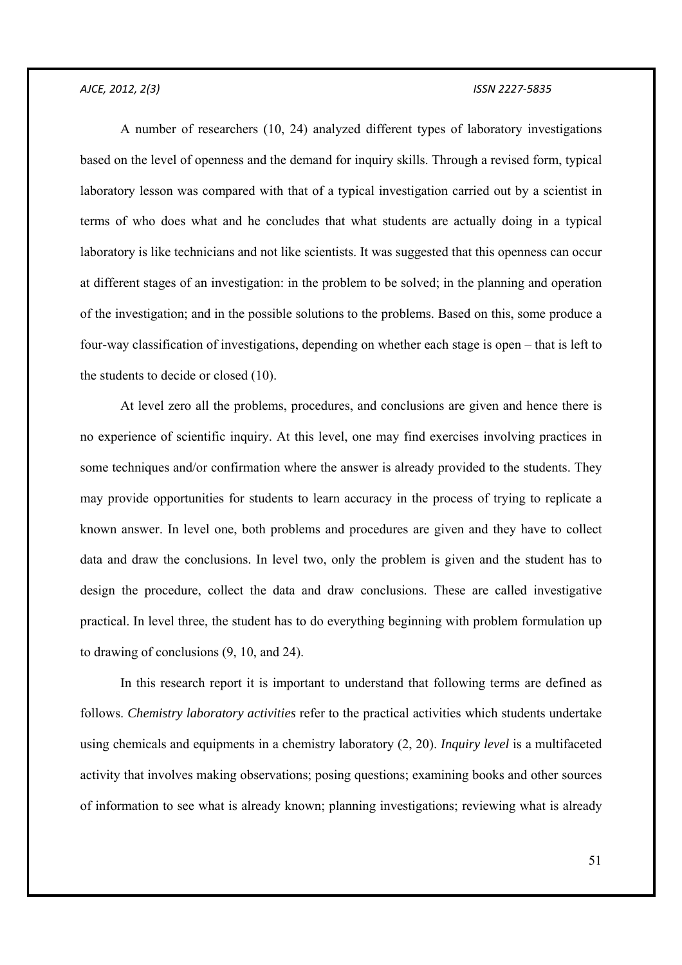A number of researchers (10, 24) analyzed different types of laboratory investigations based on the level of openness and the demand for inquiry skills. Through a revised form, typical laboratory lesson was compared with that of a typical investigation carried out by a scientist in terms of who does what and he concludes that what students are actually doing in a typical laboratory is like technicians and not like scientists. It was suggested that this openness can occur at different stages of an investigation: in the problem to be solved; in the planning and operation of the investigation; and in the possible solutions to the problems. Based on this, some produce a four-way classification of investigations, depending on whether each stage is open – that is left to the students to decide or closed (10).

 At level zero all the problems, procedures, and conclusions are given and hence there is no experience of scientific inquiry. At this level, one may find exercises involving practices in some techniques and/or confirmation where the answer is already provided to the students. They may provide opportunities for students to learn accuracy in the process of trying to replicate a known answer. In level one, both problems and procedures are given and they have to collect data and draw the conclusions. In level two, only the problem is given and the student has to design the procedure, collect the data and draw conclusions. These are called investigative practical. In level three, the student has to do everything beginning with problem formulation up to drawing of conclusions (9, 10, and 24).

 In this research report it is important to understand that following terms are defined as follows. *Chemistry laboratory activities* refer to the practical activities which students undertake using chemicals and equipments in a chemistry laboratory (2, 20). *Inquiry level* is a multifaceted activity that involves making observations; posing questions; examining books and other sources of information to see what is already known; planning investigations; reviewing what is already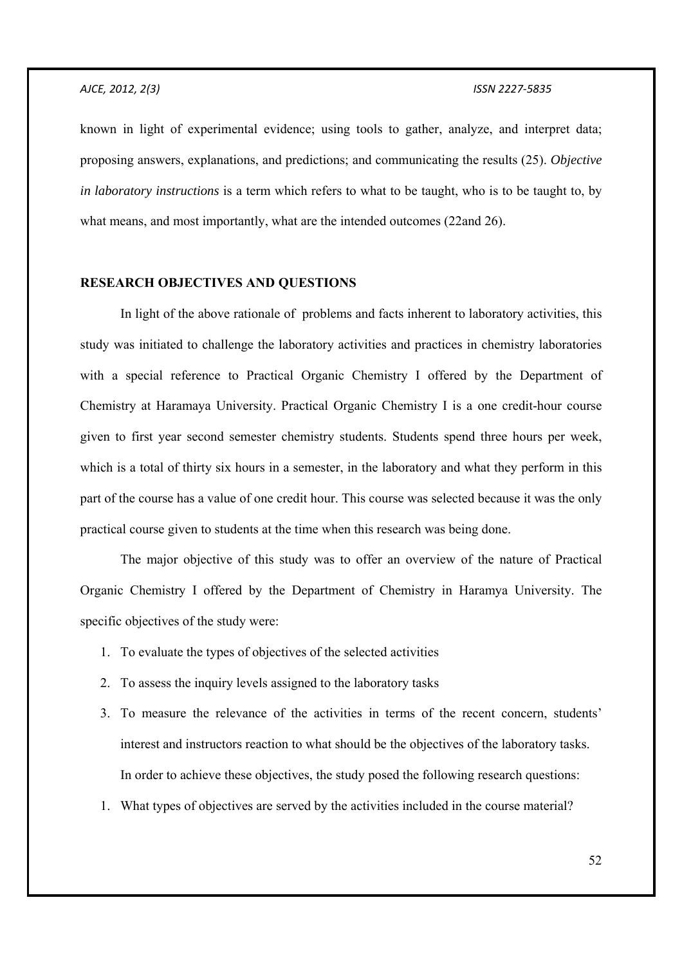known in light of experimental evidence; using tools to gather, analyze, and interpret data; proposing answers, explanations, and predictions; and communicating the results (25). *Objective in laboratory instructions* is a term which refers to what to be taught, who is to be taught to, by what means, and most importantly, what are the intended outcomes (22and 26).

#### **RESEARCH OBJECTIVES AND QUESTIONS**

 In light of the above rationale of problems and facts inherent to laboratory activities, this study was initiated to challenge the laboratory activities and practices in chemistry laboratories with a special reference to Practical Organic Chemistry I offered by the Department of Chemistry at Haramaya University. Practical Organic Chemistry I is a one credit-hour course given to first year second semester chemistry students. Students spend three hours per week, which is a total of thirty six hours in a semester, in the laboratory and what they perform in this part of the course has a value of one credit hour. This course was selected because it was the only practical course given to students at the time when this research was being done.

 The major objective of this study was to offer an overview of the nature of Practical Organic Chemistry I offered by the Department of Chemistry in Haramya University. The specific objectives of the study were:

- 1. To evaluate the types of objectives of the selected activities
- 2. To assess the inquiry levels assigned to the laboratory tasks
- 3. To measure the relevance of the activities in terms of the recent concern, students' interest and instructors reaction to what should be the objectives of the laboratory tasks. In order to achieve these objectives, the study posed the following research questions:
- 1. What types of objectives are served by the activities included in the course material?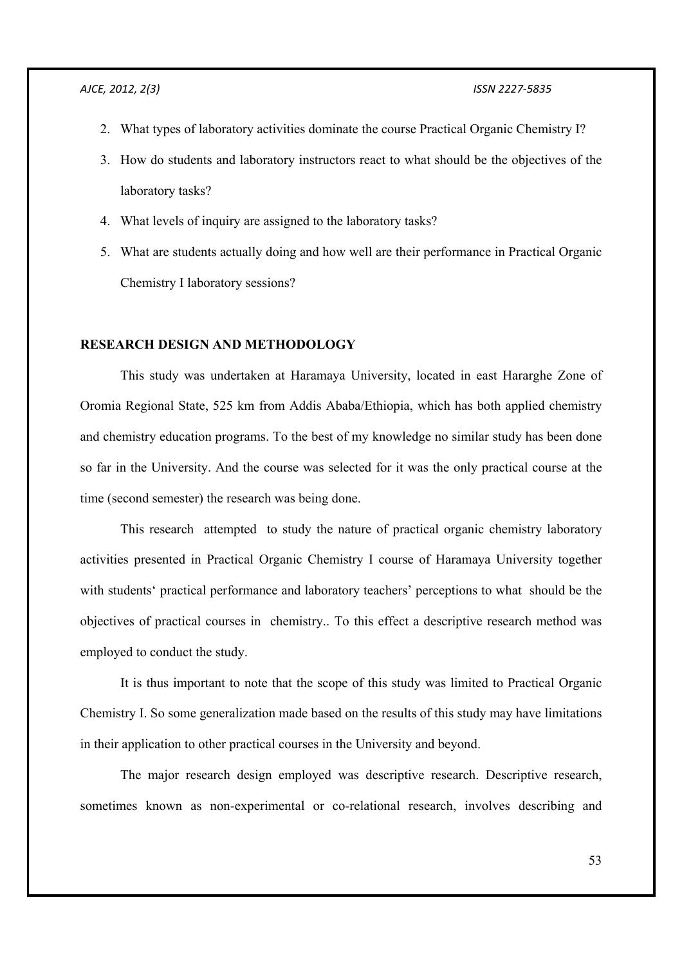- 2. What types of laboratory activities dominate the course Practical Organic Chemistry I?
- 3. How do students and laboratory instructors react to what should be the objectives of the laboratory tasks?
- 4. What levels of inquiry are assigned to the laboratory tasks?
- 5. What are students actually doing and how well are their performance in Practical Organic Chemistry I laboratory sessions?

## **RESEARCH DESIGN AND METHODOLOGY**

 This study was undertaken at Haramaya University, located in east Hararghe Zone of Oromia Regional State, 525 km from Addis Ababa/Ethiopia, which has both applied chemistry and chemistry education programs. To the best of my knowledge no similar study has been done so far in the University. And the course was selected for it was the only practical course at the time (second semester) the research was being done.

 This research attempted to study the nature of practical organic chemistry laboratory activities presented in Practical Organic Chemistry I course of Haramaya University together with students' practical performance and laboratory teachers' perceptions to what should be the objectives of practical courses in chemistry.. To this effect a descriptive research method was employed to conduct the study.

 It is thus important to note that the scope of this study was limited to Practical Organic Chemistry I. So some generalization made based on the results of this study may have limitations in their application to other practical courses in the University and beyond.

 The major research design employed was descriptive research. Descriptive research, sometimes known as non-experimental or co-relational research, involves describing and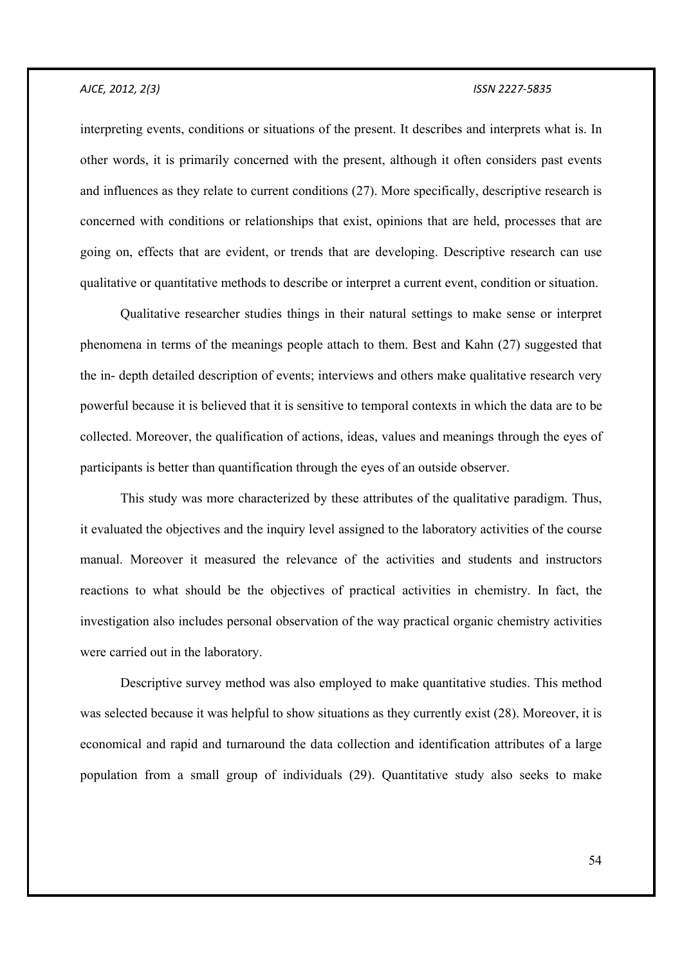interpreting events, conditions or situations of the present. It describes and interprets what is. In other words, it is primarily concerned with the present, although it often considers past events and influences as they relate to current conditions (27). More specifically, descriptive research is concerned with conditions or relationships that exist, opinions that are held, processes that are going on, effects that are evident, or trends that are developing. Descriptive research can use qualitative or quantitative methods to describe or interpret a current event, condition or situation.

 Qualitative researcher studies things in their natural settings to make sense or interpret phenomena in terms of the meanings people attach to them. Best and Kahn (27) suggested that the in- depth detailed description of events; interviews and others make qualitative research very powerful because it is believed that it is sensitive to temporal contexts in which the data are to be collected. Moreover, the qualification of actions, ideas, values and meanings through the eyes of participants is better than quantification through the eyes of an outside observer.

 This study was more characterized by these attributes of the qualitative paradigm. Thus, it evaluated the objectives and the inquiry level assigned to the laboratory activities of the course manual. Moreover it measured the relevance of the activities and students and instructors reactions to what should be the objectives of practical activities in chemistry. In fact, the investigation also includes personal observation of the way practical organic chemistry activities were carried out in the laboratory.

 Descriptive survey method was also employed to make quantitative studies. This method was selected because it was helpful to show situations as they currently exist (28). Moreover, it is economical and rapid and turnaround the data collection and identification attributes of a large population from a small group of individuals (29). Quantitative study also seeks to make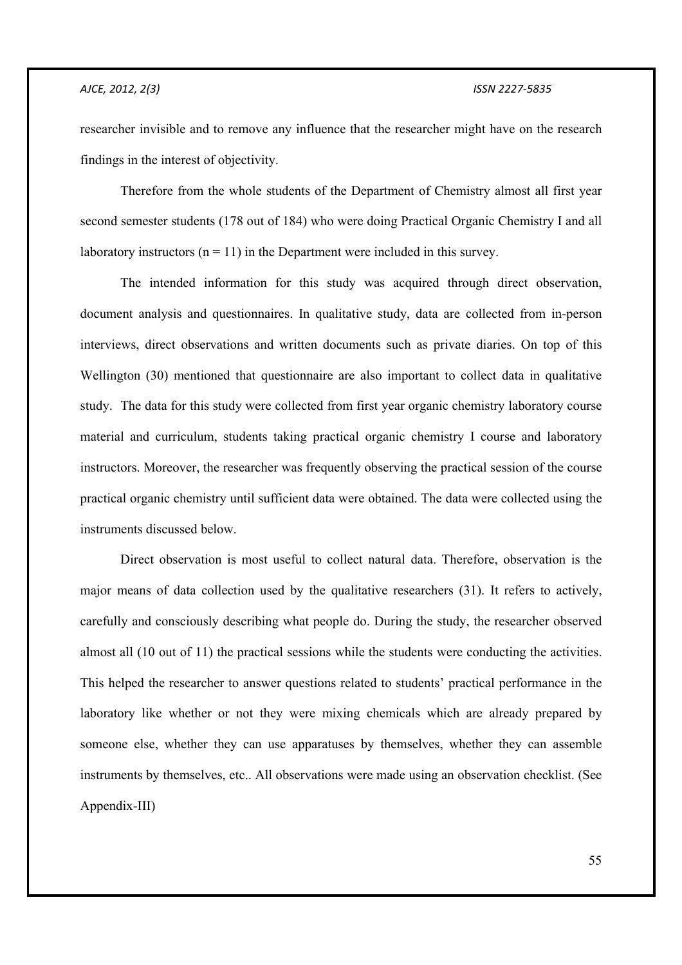researcher invisible and to remove any influence that the researcher might have on the research findings in the interest of objectivity.

 Therefore from the whole students of the Department of Chemistry almost all first year second semester students (178 out of 184) who were doing Practical Organic Chemistry I and all laboratory instructors  $(n = 11)$  in the Department were included in this survey.

The intended information for this study was acquired through direct observation, document analysis and questionnaires. In qualitative study, data are collected from in-person interviews, direct observations and written documents such as private diaries. On top of this Wellington (30) mentioned that questionnaire are also important to collect data in qualitative study. The data for this study were collected from first year organic chemistry laboratory course material and curriculum, students taking practical organic chemistry I course and laboratory instructors. Moreover, the researcher was frequently observing the practical session of the course practical organic chemistry until sufficient data were obtained. The data were collected using the instruments discussed below.

 Direct observation is most useful to collect natural data. Therefore, observation is the major means of data collection used by the qualitative researchers (31). It refers to actively, carefully and consciously describing what people do. During the study, the researcher observed almost all (10 out of 11) the practical sessions while the students were conducting the activities. This helped the researcher to answer questions related to students' practical performance in the laboratory like whether or not they were mixing chemicals which are already prepared by someone else, whether they can use apparatuses by themselves, whether they can assemble instruments by themselves, etc.. All observations were made using an observation checklist. (See Appendix-III)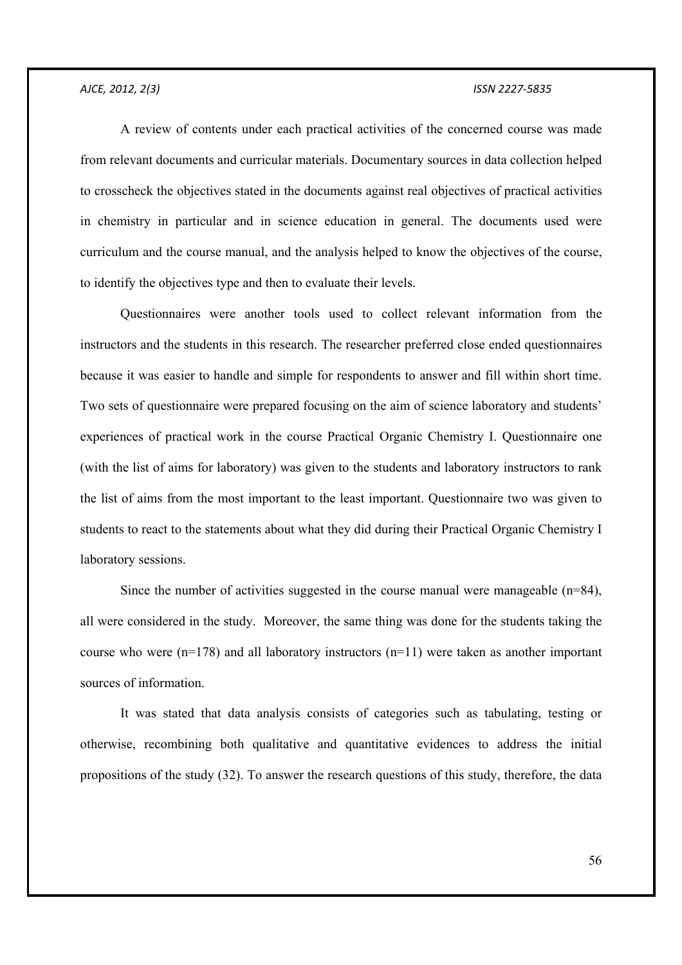A review of contents under each practical activities of the concerned course was made from relevant documents and curricular materials. Documentary sources in data collection helped to crosscheck the objectives stated in the documents against real objectives of practical activities in chemistry in particular and in science education in general. The documents used were curriculum and the course manual, and the analysis helped to know the objectives of the course, to identify the objectives type and then to evaluate their levels.

 Questionnaires were another tools used to collect relevant information from the instructors and the students in this research. The researcher preferred close ended questionnaires because it was easier to handle and simple for respondents to answer and fill within short time. Two sets of questionnaire were prepared focusing on the aim of science laboratory and students' experiences of practical work in the course Practical Organic Chemistry I. Questionnaire one (with the list of aims for laboratory) was given to the students and laboratory instructors to rank the list of aims from the most important to the least important. Questionnaire two was given to students to react to the statements about what they did during their Practical Organic Chemistry I laboratory sessions.

Since the number of activities suggested in the course manual were manageable (n=84), all were considered in the study. Moreover, the same thing was done for the students taking the course who were  $(n=178)$  and all laboratory instructors  $(n=11)$  were taken as another important sources of information.

 It was stated that data analysis consists of categories such as tabulating, testing or otherwise, recombining both qualitative and quantitative evidences to address the initial propositions of the study (32). To answer the research questions of this study, therefore, the data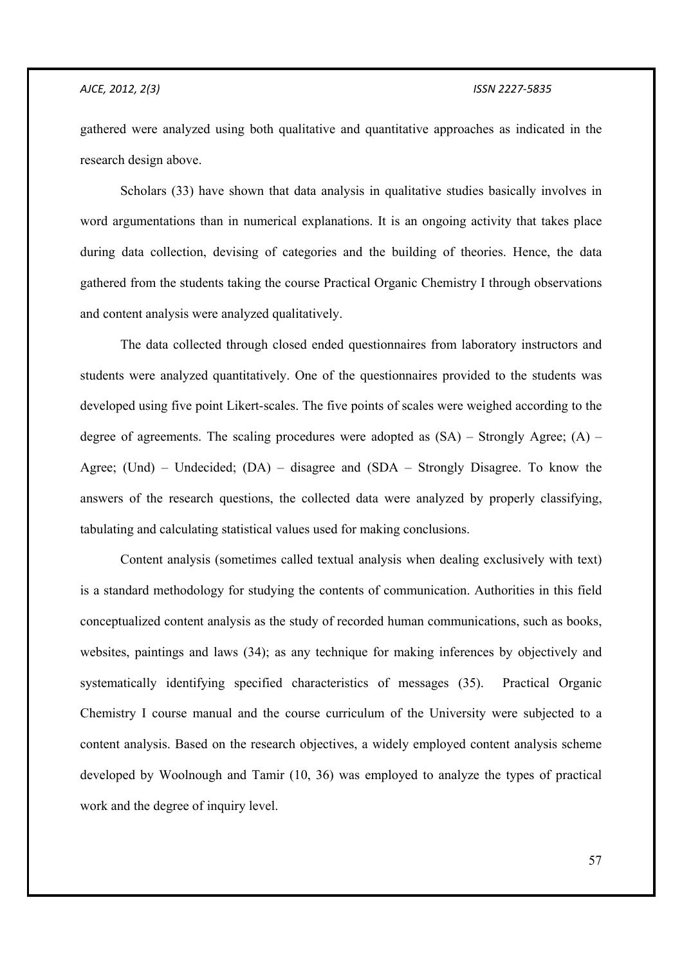gathered were analyzed using both qualitative and quantitative approaches as indicated in the research design above.

 Scholars (33) have shown that data analysis in qualitative studies basically involves in word argumentations than in numerical explanations. It is an ongoing activity that takes place during data collection, devising of categories and the building of theories. Hence, the data gathered from the students taking the course Practical Organic Chemistry I through observations and content analysis were analyzed qualitatively.

 The data collected through closed ended questionnaires from laboratory instructors and students were analyzed quantitatively. One of the questionnaires provided to the students was developed using five point Likert-scales. The five points of scales were weighed according to the degree of agreements. The scaling procedures were adopted as  $(SA)$  – Strongly Agree;  $(A)$  – Agree; (Und) – Undecided; (DA) – disagree and (SDA – Strongly Disagree. To know the answers of the research questions, the collected data were analyzed by properly classifying, tabulating and calculating statistical values used for making conclusions.

 Content analysis (sometimes called textual analysis when dealing exclusively with text) is a standard methodology for studying the contents of communication. Authorities in this field conceptualized content analysis as the study of recorded human communications, such as books, websites, paintings and laws (34); as any technique for making inferences by objectively and systematically identifying specified characteristics of messages (35). Practical Organic Chemistry I course manual and the course curriculum of the University were subjected to a content analysis. Based on the research objectives, a widely employed content analysis scheme developed by Woolnough and Tamir (10, 36) was employed to analyze the types of practical work and the degree of inquiry level.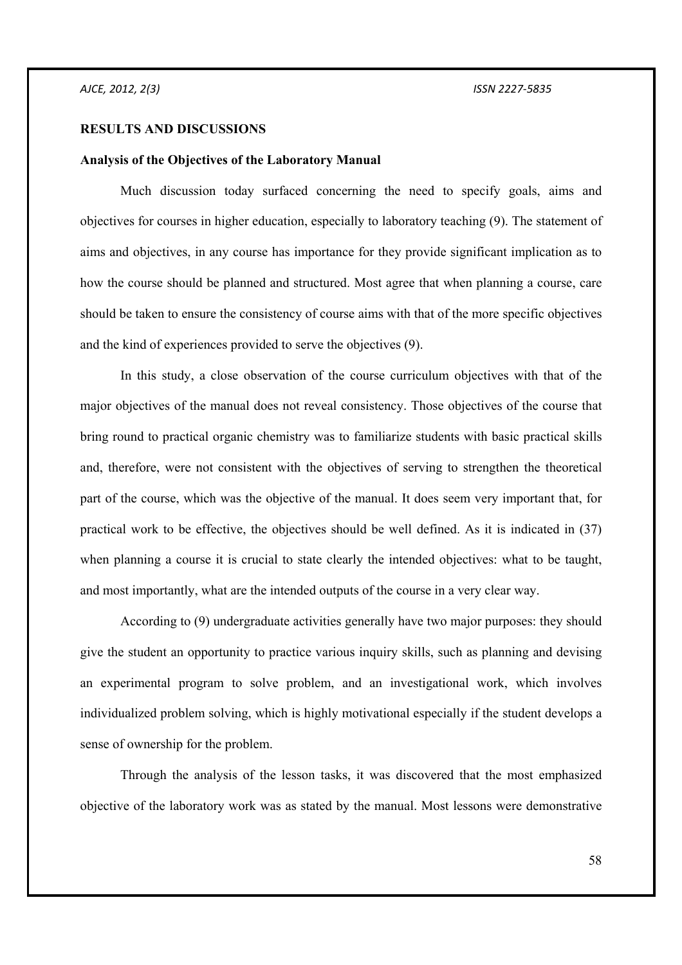#### **RESULTS AND DISCUSSIONS**

#### **Analysis of the Objectives of the Laboratory Manual**

 Much discussion today surfaced concerning the need to specify goals, aims and objectives for courses in higher education, especially to laboratory teaching (9). The statement of aims and objectives, in any course has importance for they provide significant implication as to how the course should be planned and structured. Most agree that when planning a course, care should be taken to ensure the consistency of course aims with that of the more specific objectives and the kind of experiences provided to serve the objectives (9).

 In this study, a close observation of the course curriculum objectives with that of the major objectives of the manual does not reveal consistency. Those objectives of the course that bring round to practical organic chemistry was to familiarize students with basic practical skills and, therefore, were not consistent with the objectives of serving to strengthen the theoretical part of the course, which was the objective of the manual. It does seem very important that, for practical work to be effective, the objectives should be well defined. As it is indicated in (37) when planning a course it is crucial to state clearly the intended objectives: what to be taught, and most importantly, what are the intended outputs of the course in a very clear way.

 According to (9) undergraduate activities generally have two major purposes: they should give the student an opportunity to practice various inquiry skills, such as planning and devising an experimental program to solve problem, and an investigational work, which involves individualized problem solving, which is highly motivational especially if the student develops a sense of ownership for the problem.

 Through the analysis of the lesson tasks, it was discovered that the most emphasized objective of the laboratory work was as stated by the manual. Most lessons were demonstrative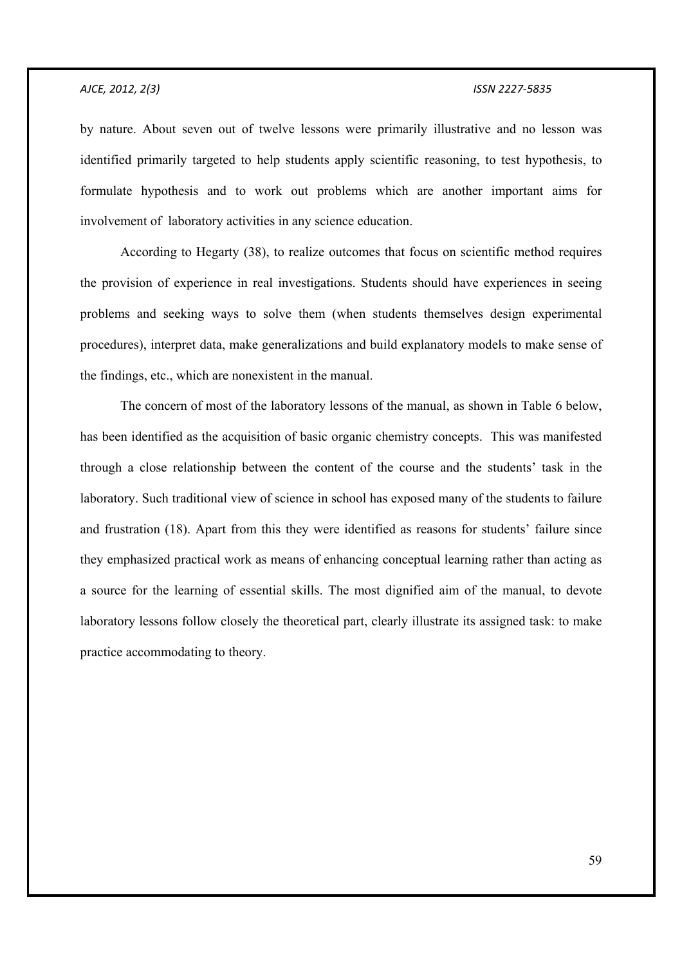by nature. About seven out of twelve lessons were primarily illustrative and no lesson was identified primarily targeted to help students apply scientific reasoning, to test hypothesis, to formulate hypothesis and to work out problems which are another important aims for involvement of laboratory activities in any science education.

 According to Hegarty (38), to realize outcomes that focus on scientific method requires the provision of experience in real investigations. Students should have experiences in seeing problems and seeking ways to solve them (when students themselves design experimental procedures), interpret data, make generalizations and build explanatory models to make sense of the findings, etc., which are nonexistent in the manual.

 The concern of most of the laboratory lessons of the manual, as shown in Table 6 below, has been identified as the acquisition of basic organic chemistry concepts. This was manifested through a close relationship between the content of the course and the students' task in the laboratory. Such traditional view of science in school has exposed many of the students to failure and frustration (18). Apart from this they were identified as reasons for students' failure since they emphasized practical work as means of enhancing conceptual learning rather than acting as a source for the learning of essential skills. The most dignified aim of the manual, to devote laboratory lessons follow closely the theoretical part, clearly illustrate its assigned task: to make practice accommodating to theory.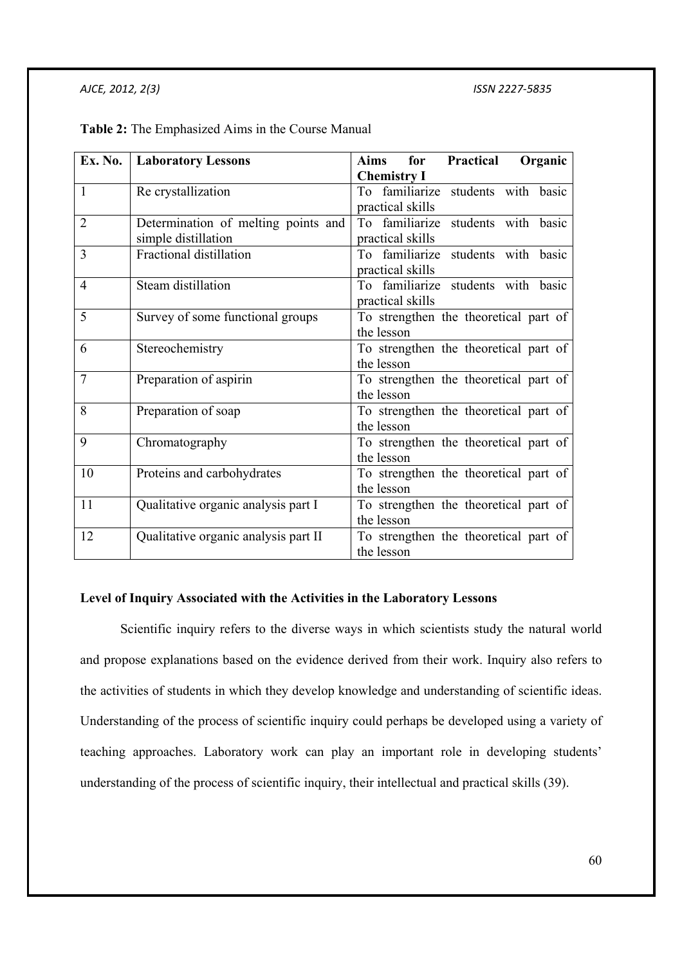|                | <b>Ex. No.</b>   Laboratory Lessons  | Practical<br>Organic<br>Aims<br>for   |
|----------------|--------------------------------------|---------------------------------------|
|                |                                      | <b>Chemistry I</b>                    |
| $\mathbf{1}$   | Re crystallization                   | To familiarize students with basic    |
|                |                                      | practical skills                      |
| $\overline{2}$ | Determination of melting points and  | To familiarize students with basic    |
|                | simple distillation                  | practical skills                      |
| $\overline{3}$ | Fractional distillation              | To familiarize students with basic    |
|                |                                      | practical skills                      |
| $\overline{4}$ | Steam distillation                   | To familiarize students with basic    |
|                |                                      | practical skills                      |
| 5              | Survey of some functional groups     | To strengthen the theoretical part of |
|                |                                      | the lesson                            |
| 6              | Stereochemistry                      | To strengthen the theoretical part of |
|                |                                      | the lesson                            |
| $\overline{7}$ | Preparation of aspirin               | To strengthen the theoretical part of |
|                |                                      | the lesson                            |
| 8              | Preparation of soap                  | To strengthen the theoretical part of |
|                |                                      | the lesson                            |
| 9              | Chromatography                       | To strengthen the theoretical part of |
|                |                                      | the lesson                            |
| 10             | Proteins and carbohydrates           | To strengthen the theoretical part of |
|                |                                      | the lesson                            |
| 11             | Qualitative organic analysis part I  | To strengthen the theoretical part of |
|                |                                      | the lesson                            |
| 12             | Qualitative organic analysis part II | To strengthen the theoretical part of |
|                |                                      | the lesson                            |

**Table 2:** The Emphasized Aims in the Course Manual

## **Level of Inquiry Associated with the Activities in the Laboratory Lessons**

 Scientific inquiry refers to the diverse ways in which scientists study the natural world and propose explanations based on the evidence derived from their work. Inquiry also refers to the activities of students in which they develop knowledge and understanding of scientific ideas. Understanding of the process of scientific inquiry could perhaps be developed using a variety of teaching approaches. Laboratory work can play an important role in developing students' understanding of the process of scientific inquiry, their intellectual and practical skills (39).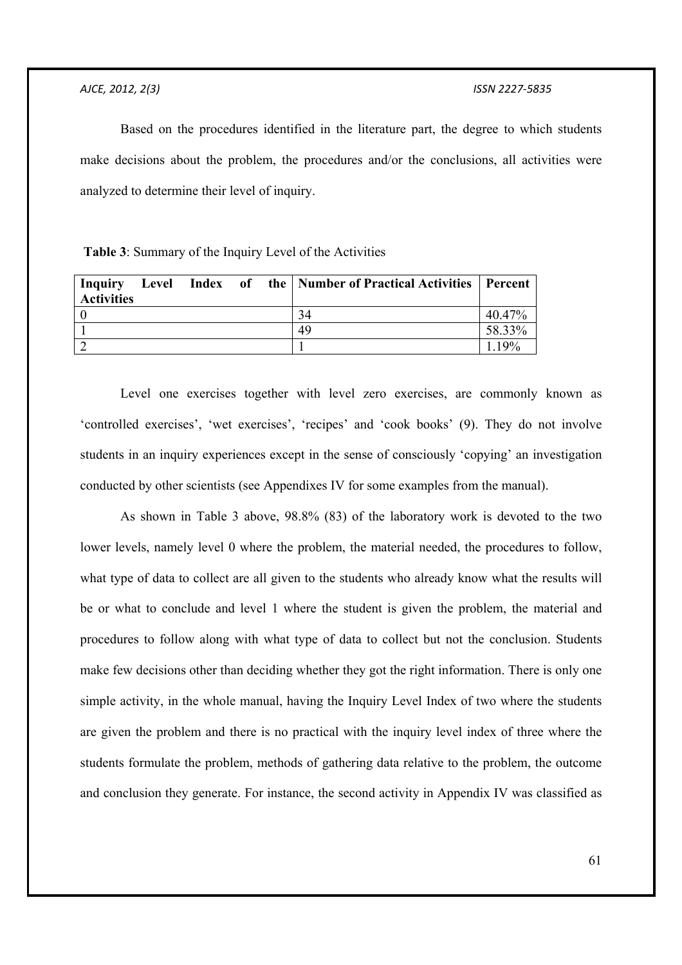Based on the procedures identified in the literature part, the degree to which students make decisions about the problem, the procedures and/or the conclusions, all activities were analyzed to determine their level of inquiry.

 **Table 3**: Summary of the Inquiry Level of the Activities

| <b>Activities</b> |  |  | Inquiry Level Index of the   Number of Practical Activities   Percent |        |
|-------------------|--|--|-----------------------------------------------------------------------|--------|
|                   |  |  | 34                                                                    | 40.47% |
|                   |  |  | 49                                                                    | 58.33% |
|                   |  |  |                                                                       | 119%   |

 Level one exercises together with level zero exercises, are commonly known as 'controlled exercises', 'wet exercises', 'recipes' and 'cook books' (9). They do not involve students in an inquiry experiences except in the sense of consciously 'copying' an investigation conducted by other scientists (see Appendixes IV for some examples from the manual).

 As shown in Table 3 above, 98.8% (83) of the laboratory work is devoted to the two lower levels, namely level 0 where the problem, the material needed, the procedures to follow, what type of data to collect are all given to the students who already know what the results will be or what to conclude and level 1 where the student is given the problem, the material and procedures to follow along with what type of data to collect but not the conclusion. Students make few decisions other than deciding whether they got the right information. There is only one simple activity, in the whole manual, having the Inquiry Level Index of two where the students are given the problem and there is no practical with the inquiry level index of three where the students formulate the problem, methods of gathering data relative to the problem, the outcome and conclusion they generate. For instance, the second activity in Appendix IV was classified as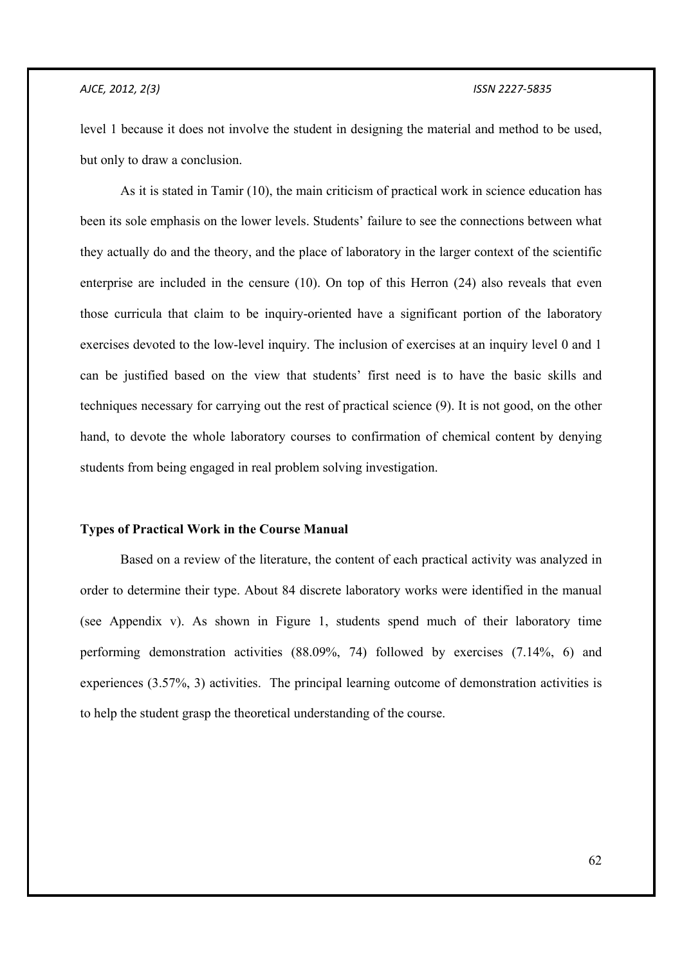level 1 because it does not involve the student in designing the material and method to be used, but only to draw a conclusion.

 As it is stated in Tamir (10), the main criticism of practical work in science education has been its sole emphasis on the lower levels. Students' failure to see the connections between what they actually do and the theory, and the place of laboratory in the larger context of the scientific enterprise are included in the censure (10). On top of this Herron (24) also reveals that even those curricula that claim to be inquiry-oriented have a significant portion of the laboratory exercises devoted to the low-level inquiry. The inclusion of exercises at an inquiry level 0 and 1 can be justified based on the view that students' first need is to have the basic skills and techniques necessary for carrying out the rest of practical science (9). It is not good, on the other hand, to devote the whole laboratory courses to confirmation of chemical content by denying students from being engaged in real problem solving investigation.

#### **Types of Practical Work in the Course Manual**

 Based on a review of the literature, the content of each practical activity was analyzed in order to determine their type. About 84 discrete laboratory works were identified in the manual (see Appendix v). As shown in Figure 1, students spend much of their laboratory time performing demonstration activities (88.09%, 74) followed by exercises (7.14%, 6) and experiences (3.57%, 3) activities. The principal learning outcome of demonstration activities is to help the student grasp the theoretical understanding of the course.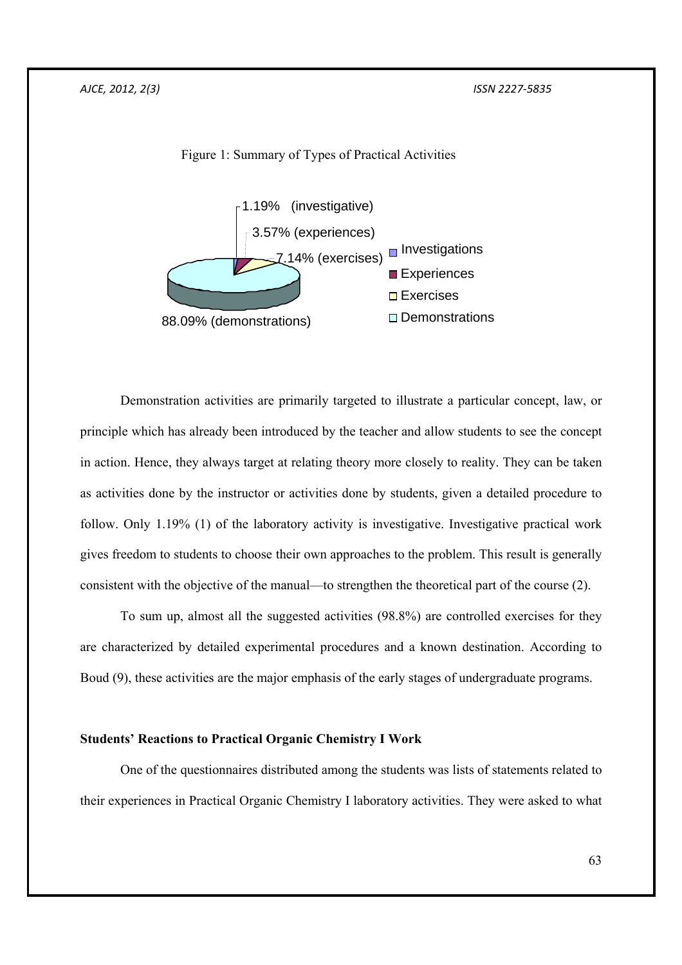

Figure 1: Summary of Types of Practical Activities

 Demonstration activities are primarily targeted to illustrate a particular concept, law, or principle which has already been introduced by the teacher and allow students to see the concept in action. Hence, they always target at relating theory more closely to reality. They can be taken as activities done by the instructor or activities done by students, given a detailed procedure to follow. Only 1.19% (1) of the laboratory activity is investigative. Investigative practical work gives freedom to students to choose their own approaches to the problem. This result is generally consistent with the objective of the manual—to strengthen the theoretical part of the course (2).

 To sum up, almost all the suggested activities (98.8%) are controlled exercises for they are characterized by detailed experimental procedures and a known destination. According to Boud (9), these activities are the major emphasis of the early stages of undergraduate programs.

### **Students' Reactions to Practical Organic Chemistry I Work**

 One of the questionnaires distributed among the students was lists of statements related to their experiences in Practical Organic Chemistry I laboratory activities. They were asked to what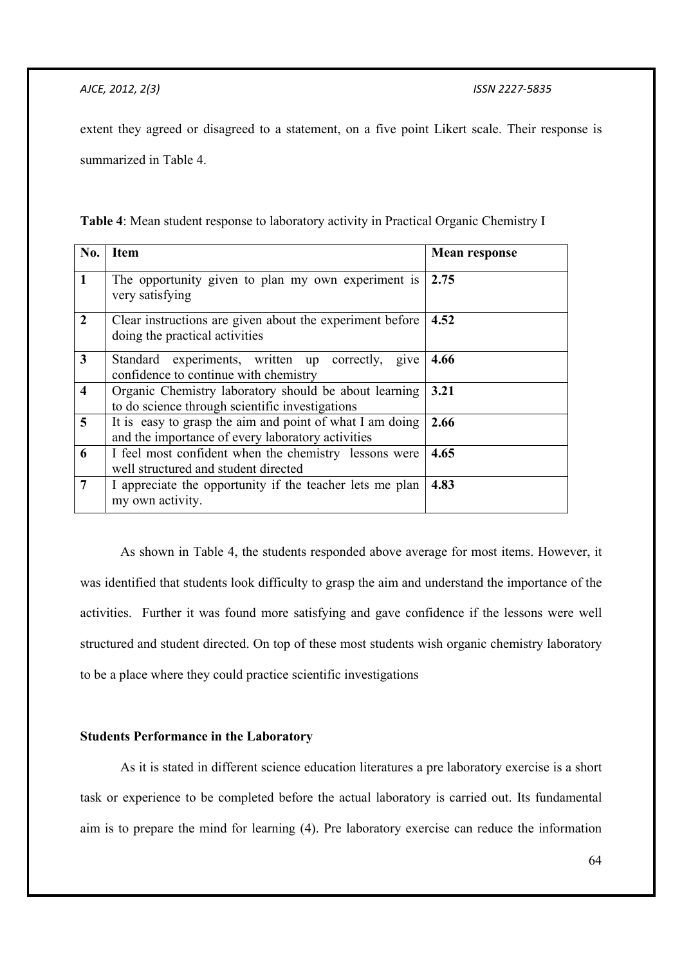extent they agreed or disagreed to a statement, on a five point Likert scale. Their response is summarized in Table 4.

| Table 4: Mean student response to laboratory activity in Practical Organic Chemistry I |  |  |
|----------------------------------------------------------------------------------------|--|--|
|----------------------------------------------------------------------------------------|--|--|

| No.            | Item                                                                                                          | <b>Mean response</b> |  |
|----------------|---------------------------------------------------------------------------------------------------------------|----------------------|--|
| $\mathbf{1}$   | The opportunity given to plan my own experiment is<br>very satisfying                                         | 2.75                 |  |
| $\mathbf{2}$   | Clear instructions are given about the experiment before<br>doing the practical activities                    | 4.52                 |  |
| 3 <sup>1</sup> | Standard experiments, written up correctly, give<br>confidence to continue with chemistry                     | 4.66                 |  |
| 4              | Organic Chemistry laboratory should be about learning<br>to do science through scientific investigations      | 3.21                 |  |
| 5              | It is easy to grasp the aim and point of what I am doing<br>and the importance of every laboratory activities | 2.66                 |  |
| 6              | I feel most confident when the chemistry lessons were<br>4.65<br>well structured and student directed         |                      |  |
| 7              | I appreciate the opportunity if the teacher lets me plan<br>my own activity.                                  | 4.83                 |  |

 As shown in Table 4, the students responded above average for most items. However, it was identified that students look difficulty to grasp the aim and understand the importance of the activities. Further it was found more satisfying and gave confidence if the lessons were well structured and student directed. On top of these most students wish organic chemistry laboratory to be a place where they could practice scientific investigations

## **Students Performance in the Laboratory**

 As it is stated in different science education literatures a pre laboratory exercise is a short task or experience to be completed before the actual laboratory is carried out. Its fundamental aim is to prepare the mind for learning (4). Pre laboratory exercise can reduce the information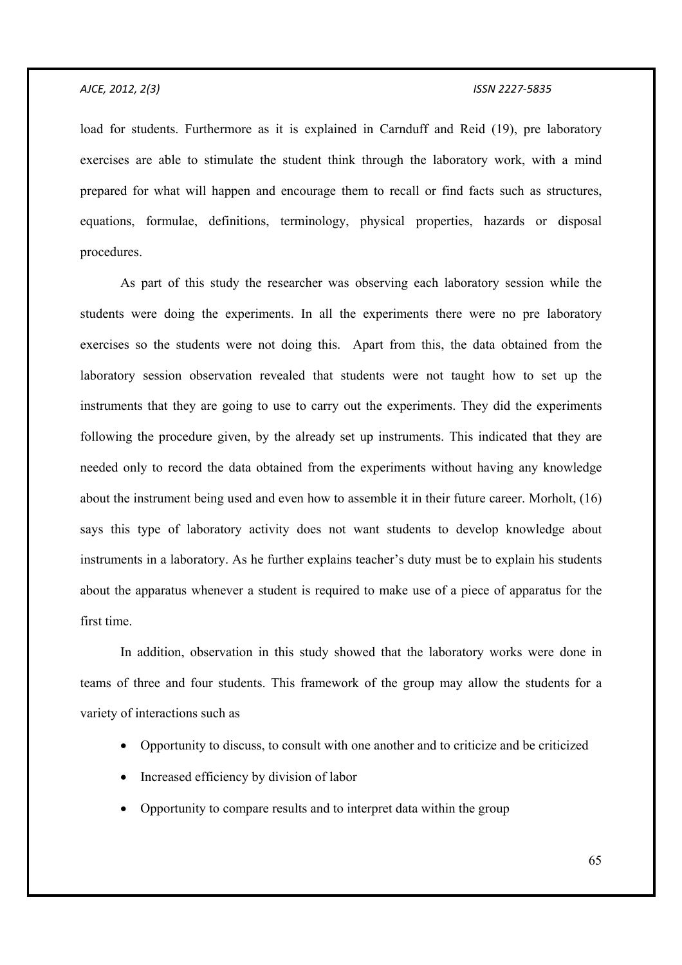load for students. Furthermore as it is explained in Carnduff and Reid (19), pre laboratory exercises are able to stimulate the student think through the laboratory work, with a mind prepared for what will happen and encourage them to recall or find facts such as structures, equations, formulae, definitions, terminology, physical properties, hazards or disposal procedures.

 As part of this study the researcher was observing each laboratory session while the students were doing the experiments. In all the experiments there were no pre laboratory exercises so the students were not doing this. Apart from this, the data obtained from the laboratory session observation revealed that students were not taught how to set up the instruments that they are going to use to carry out the experiments. They did the experiments following the procedure given, by the already set up instruments. This indicated that they are needed only to record the data obtained from the experiments without having any knowledge about the instrument being used and even how to assemble it in their future career. Morholt, (16) says this type of laboratory activity does not want students to develop knowledge about instruments in a laboratory. As he further explains teacher's duty must be to explain his students about the apparatus whenever a student is required to make use of a piece of apparatus for the first time.

 In addition, observation in this study showed that the laboratory works were done in teams of three and four students. This framework of the group may allow the students for a variety of interactions such as

- Opportunity to discuss, to consult with one another and to criticize and be criticized
- Increased efficiency by division of labor
- Opportunity to compare results and to interpret data within the group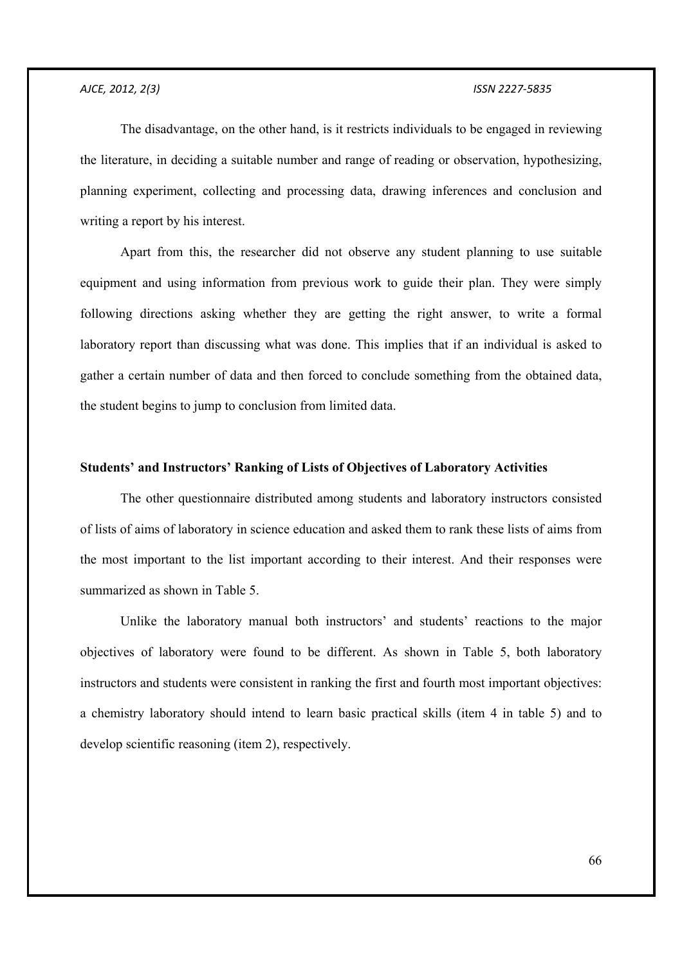The disadvantage, on the other hand, is it restricts individuals to be engaged in reviewing the literature, in deciding a suitable number and range of reading or observation, hypothesizing, planning experiment, collecting and processing data, drawing inferences and conclusion and writing a report by his interest.

 Apart from this, the researcher did not observe any student planning to use suitable equipment and using information from previous work to guide their plan. They were simply following directions asking whether they are getting the right answer, to write a formal laboratory report than discussing what was done. This implies that if an individual is asked to gather a certain number of data and then forced to conclude something from the obtained data, the student begins to jump to conclusion from limited data.

## **Students' and Instructors' Ranking of Lists of Objectives of Laboratory Activities**

 The other questionnaire distributed among students and laboratory instructors consisted of lists of aims of laboratory in science education and asked them to rank these lists of aims from the most important to the list important according to their interest. And their responses were summarized as shown in Table 5.

 Unlike the laboratory manual both instructors' and students' reactions to the major objectives of laboratory were found to be different. As shown in Table 5, both laboratory instructors and students were consistent in ranking the first and fourth most important objectives: a chemistry laboratory should intend to learn basic practical skills (item 4 in table 5) and to develop scientific reasoning (item 2), respectively.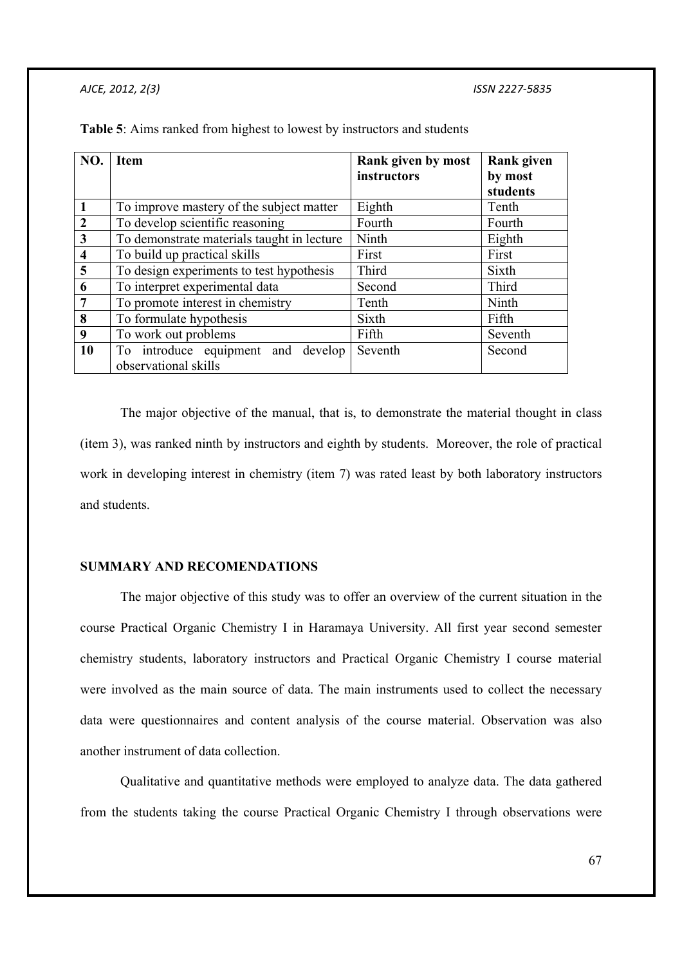| NO.                     | <b>Item</b>                                | Rank given by most | <b>Rank given</b> |
|-------------------------|--------------------------------------------|--------------------|-------------------|
|                         |                                            | instructors        | by most           |
|                         |                                            |                    | students          |
| $\mathbf{1}$            | To improve mastery of the subject matter   | Eighth             | Tenth             |
| $\overline{2}$          | To develop scientific reasoning            | Fourth             | Fourth            |
| 3                       | To demonstrate materials taught in lecture | Ninth              | Eighth            |
| $\overline{\mathbf{4}}$ | To build up practical skills               | First              | First             |
| $\overline{5}$          | To design experiments to test hypothesis   | Third              | Sixth             |
| 6                       | To interpret experimental data             | Second             | Third             |
| $\overline{7}$          | To promote interest in chemistry           | Tenth              | Ninth             |
| 8                       | To formulate hypothesis                    | Sixth              | Fifth             |
| 9                       | To work out problems                       | Fifth              | Seventh           |
| 10                      | To introduce equipment and develop         | Seventh            | Second            |
|                         | observational skills                       |                    |                   |

**Table 5**: Aims ranked from highest to lowest by instructors and students

 The major objective of the manual, that is, to demonstrate the material thought in class (item 3), was ranked ninth by instructors and eighth by students. Moreover, the role of practical work in developing interest in chemistry (item 7) was rated least by both laboratory instructors and students.

## **SUMMARY AND RECOMENDATIONS**

 The major objective of this study was to offer an overview of the current situation in the course Practical Organic Chemistry I in Haramaya University. All first year second semester chemistry students, laboratory instructors and Practical Organic Chemistry I course material were involved as the main source of data. The main instruments used to collect the necessary data were questionnaires and content analysis of the course material. Observation was also another instrument of data collection.

 Qualitative and quantitative methods were employed to analyze data. The data gathered from the students taking the course Practical Organic Chemistry I through observations were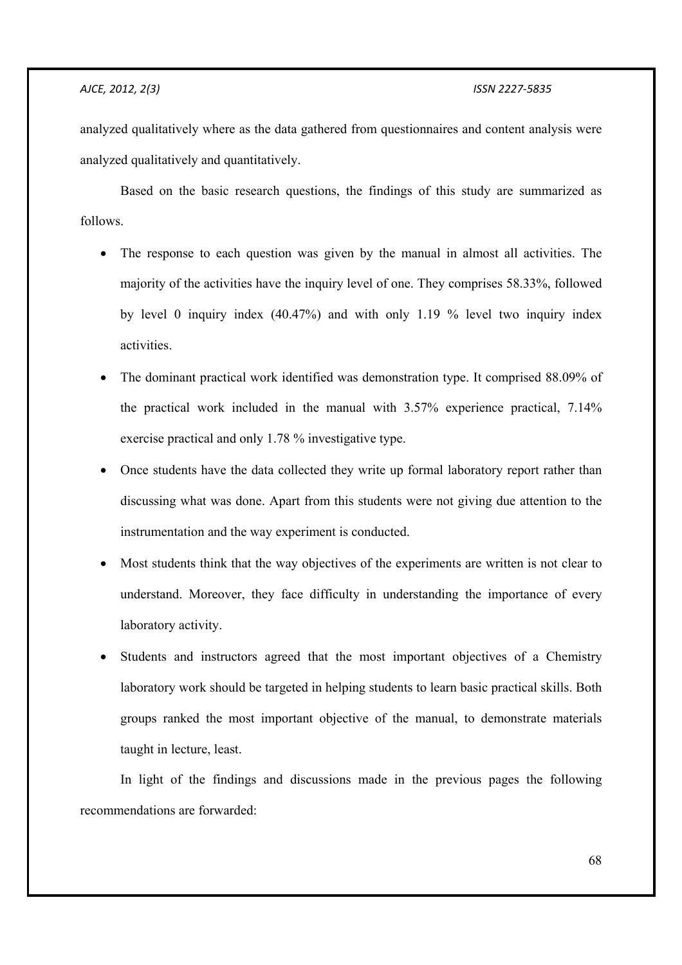analyzed qualitatively where as the data gathered from questionnaires and content analysis were analyzed qualitatively and quantitatively.

 Based on the basic research questions, the findings of this study are summarized as follows.

- The response to each question was given by the manual in almost all activities. The majority of the activities have the inquiry level of one. They comprises 58.33%, followed by level 0 inquiry index (40.47%) and with only 1.19 % level two inquiry index activities.
- The dominant practical work identified was demonstration type. It comprised 88.09% of the practical work included in the manual with 3.57% experience practical, 7.14% exercise practical and only 1.78 % investigative type.
- Once students have the data collected they write up formal laboratory report rather than discussing what was done. Apart from this students were not giving due attention to the instrumentation and the way experiment is conducted.
- Most students think that the way objectives of the experiments are written is not clear to understand. Moreover, they face difficulty in understanding the importance of every laboratory activity.
- Students and instructors agreed that the most important objectives of a Chemistry laboratory work should be targeted in helping students to learn basic practical skills. Both groups ranked the most important objective of the manual, to demonstrate materials taught in lecture, least.

 In light of the findings and discussions made in the previous pages the following recommendations are forwarded: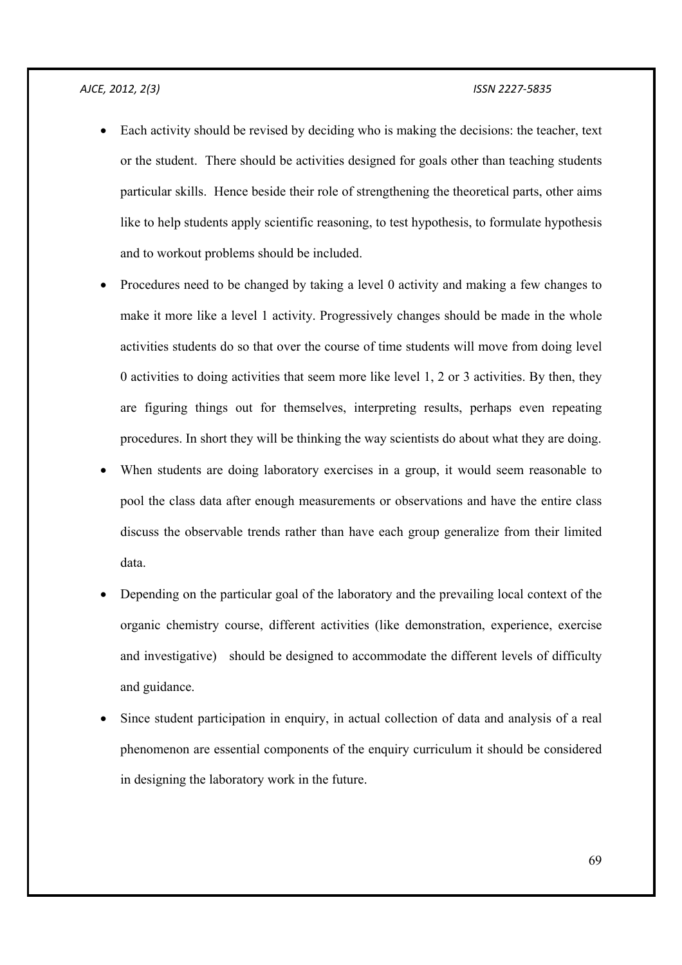- Each activity should be revised by deciding who is making the decisions: the teacher, text or the student. There should be activities designed for goals other than teaching students particular skills. Hence beside their role of strengthening the theoretical parts, other aims like to help students apply scientific reasoning, to test hypothesis, to formulate hypothesis and to workout problems should be included.
- Procedures need to be changed by taking a level 0 activity and making a few changes to make it more like a level 1 activity. Progressively changes should be made in the whole activities students do so that over the course of time students will move from doing level 0 activities to doing activities that seem more like level 1, 2 or 3 activities. By then, they are figuring things out for themselves, interpreting results, perhaps even repeating procedures. In short they will be thinking the way scientists do about what they are doing.
- When students are doing laboratory exercises in a group, it would seem reasonable to pool the class data after enough measurements or observations and have the entire class discuss the observable trends rather than have each group generalize from their limited data.
- Depending on the particular goal of the laboratory and the prevailing local context of the organic chemistry course, different activities (like demonstration, experience, exercise and investigative) should be designed to accommodate the different levels of difficulty and guidance.
- Since student participation in enquiry, in actual collection of data and analysis of a real phenomenon are essential components of the enquiry curriculum it should be considered in designing the laboratory work in the future.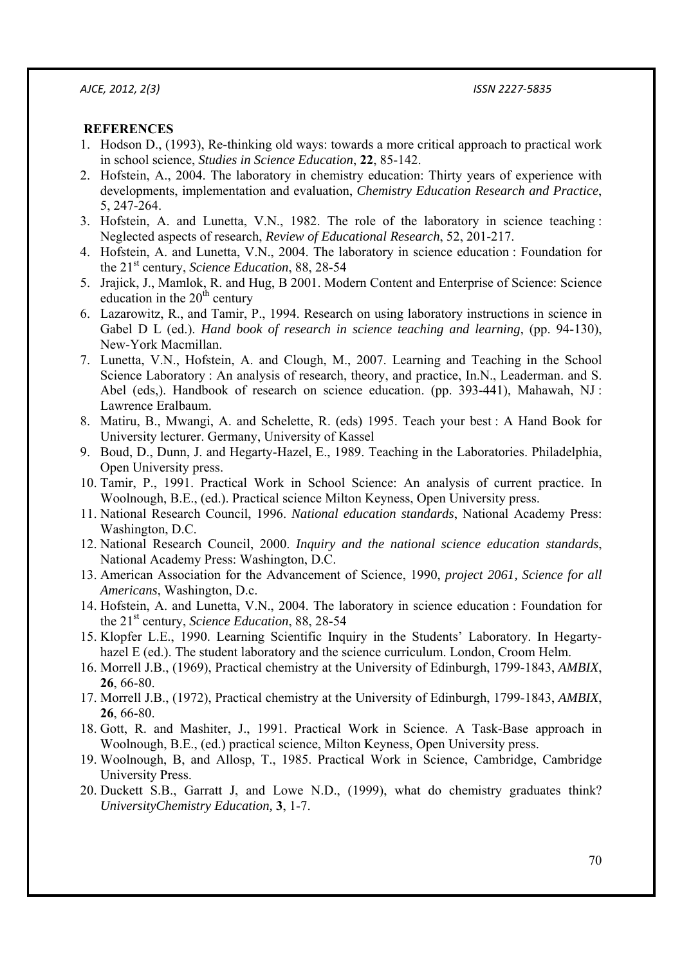## **REFERENCES**

- 1. Hodson D., (1993), Re-thinking old ways: towards a more critical approach to practical work in school science, *Studies in Science Education*, **22**, 85-142.
- 2. Hofstein, A., 2004. The laboratory in chemistry education: Thirty years of experience with developments, implementation and evaluation, *Chemistry Education Research and Practice*, 5, 247-264.
- 3. Hofstein, A. and Lunetta, V.N., 1982. The role of the laboratory in science teaching : Neglected aspects of research, *Review of Educational Research*, 52, 201-217.
- 4. Hofstein, A. and Lunetta, V.N., 2004. The laboratory in science education : Foundation for the 21st century, *Science Education*, 88, 28-54
- 5. Jrajick, J., Mamlok, R. and Hug, B 2001. Modern Content and Enterprise of Science: Science education in the  $20<sup>th</sup>$  century
- 6. Lazarowitz, R., and Tamir, P., 1994. Research on using laboratory instructions in science in Gabel D L (ed.). *Hand book of research in science teaching and learning*, (pp. 94-130), New-York Macmillan.
- 7. Lunetta, V.N., Hofstein, A. and Clough, M., 2007. Learning and Teaching in the School Science Laboratory : An analysis of research, theory, and practice, In.N., Leaderman. and S. Abel (eds,). Handbook of research on science education. (pp. 393-441), Mahawah, NJ : Lawrence Eralbaum.
- 8. Matiru, B., Mwangi, A. and Schelette, R. (eds) 1995. Teach your best : A Hand Book for University lecturer. Germany, University of Kassel
- 9. Boud, D., Dunn, J. and Hegarty-Hazel, E., 1989. Teaching in the Laboratories. Philadelphia, Open University press.
- 10. Tamir, P., 1991. Practical Work in School Science: An analysis of current practice. In Woolnough, B.E., (ed.). Practical science Milton Keyness, Open University press.
- 11. National Research Council, 1996. *National education standards*, National Academy Press: Washington, D.C.
- 12. National Research Council, 2000. *Inquiry and the national science education standards*, National Academy Press: Washington, D.C.
- 13. American Association for the Advancement of Science, 1990, *project 2061, Science for all Americans*, Washington, D.c.
- 14. Hofstein, A. and Lunetta, V.N., 2004. The laboratory in science education : Foundation for the 21st century, *Science Education*, 88, 28-54
- 15. Klopfer L.E., 1990. Learning Scientific Inquiry in the Students' Laboratory. In Hegartyhazel E (ed.). The student laboratory and the science curriculum. London, Croom Helm.
- 16. Morrell J.B., (1969), Practical chemistry at the University of Edinburgh, 1799-1843, *AMBIX*, **26**, 66-80.
- 17. Morrell J.B., (1972), Practical chemistry at the University of Edinburgh, 1799-1843, *AMBIX*, **26**, 66-80.
- 18. Gott, R. and Mashiter, J., 1991. Practical Work in Science. A Task-Base approach in Woolnough, B.E., (ed.) practical science, Milton Keyness, Open University press.
- 19. Woolnough, B, and Allosp, T., 1985. Practical Work in Science, Cambridge, Cambridge University Press.
- 20. Duckett S.B., Garratt J, and Lowe N.D., (1999), what do chemistry graduates think? *UniversityChemistry Education,* **3**, 1-7.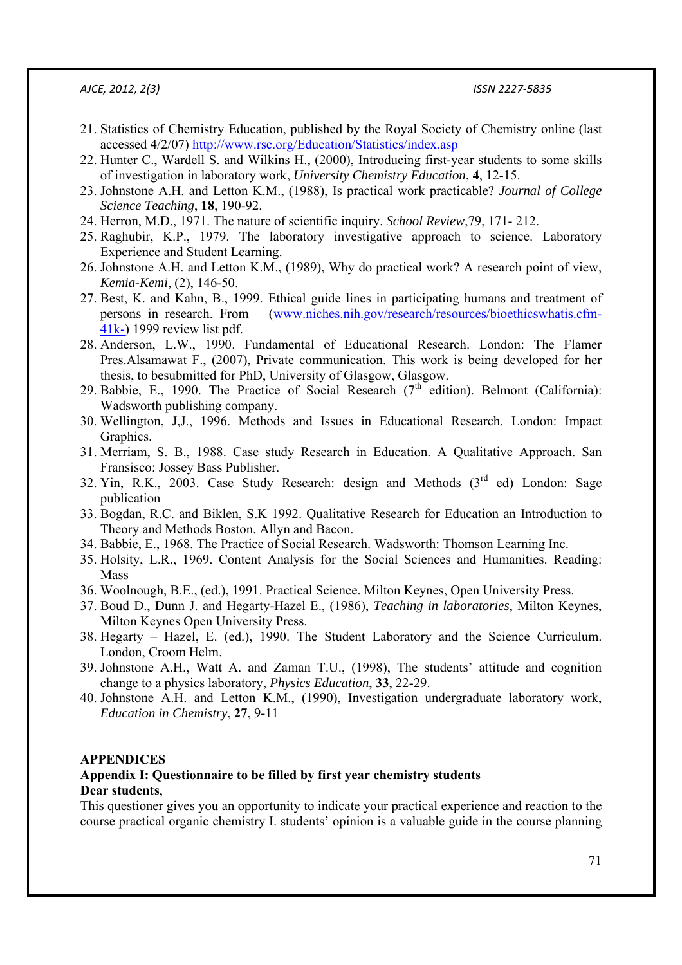- 21. Statistics of Chemistry Education, published by the Royal Society of Chemistry online (last accessed 4/2/07) http://www.rsc.org/Education/Statistics/index.asp
- 22. Hunter C., Wardell S. and Wilkins H., (2000), Introducing first-year students to some skills of investigation in laboratory work, *University Chemistry Education*, **4**, 12-15.
- 23. Johnstone A.H. and Letton K.M., (1988), Is practical work practicable? *Journal of College Science Teaching*, **18**, 190-92.
- 24. Herron, M.D., 1971. The nature of scientific inquiry. *School Review*,79, 171- 212.
- 25. Raghubir, K.P., 1979. The laboratory investigative approach to science. Laboratory Experience and Student Learning.
- 26. Johnstone A.H. and Letton K.M., (1989), Why do practical work? A research point of view, *Kemia-Kemi*, (2), 146-50.
- 27. Best, K. and Kahn, B., 1999. Ethical guide lines in participating humans and treatment of persons in research. From (www.niches.nih.gov/research/resources/bioethicswhatis.cfm-41k-) 1999 review list pdf.
- 28. Anderson, L.W., 1990. Fundamental of Educational Research. London: The Flamer Pres.Alsamawat F., (2007), Private communication. This work is being developed for her thesis, to besubmitted for PhD, University of Glasgow, Glasgow.
- 29. Babbie, E., 1990. The Practice of Social Research ( $7<sup>th</sup>$  edition). Belmont (California): Wadsworth publishing company.
- 30. Wellington, J,J., 1996. Methods and Issues in Educational Research. London: Impact Graphics.
- 31. Merriam, S. B., 1988. Case study Research in Education. A Qualitative Approach. San Fransisco: Jossey Bass Publisher.
- 32. Yin, R.K., 2003. Case Study Research: design and Methods  $(3<sup>rd</sup>$  ed) London: Sage publication
- 33. Bogdan, R.C. and Biklen, S.K 1992. Qualitative Research for Education an Introduction to Theory and Methods Boston. Allyn and Bacon.
- 34. Babbie, E., 1968. The Practice of Social Research. Wadsworth: Thomson Learning Inc.
- 35. Holsity, L.R., 1969. Content Analysis for the Social Sciences and Humanities. Reading: Mass
- 36. Woolnough, B.E., (ed.), 1991. Practical Science. Milton Keynes, Open University Press.
- 37. Boud D., Dunn J. and Hegarty-Hazel E., (1986), *Teaching in laboratories*, Milton Keynes, Milton Keynes Open University Press.
- 38. Hegarty Hazel, E. (ed.), 1990. The Student Laboratory and the Science Curriculum. London, Croom Helm.
- 39. Johnstone A.H., Watt A. and Zaman T.U., (1998), The students' attitude and cognition change to a physics laboratory, *Physics Education*, **33**, 22-29.
- 40. Johnstone A.H. and Letton K.M., (1990), Investigation undergraduate laboratory work, *Education in Chemistry*, **27**, 9-11

#### **APPENDICES**

## **Appendix I: Questionnaire to be filled by first year chemistry students Dear students**,

This questioner gives you an opportunity to indicate your practical experience and reaction to the course practical organic chemistry I. students' opinion is a valuable guide in the course planning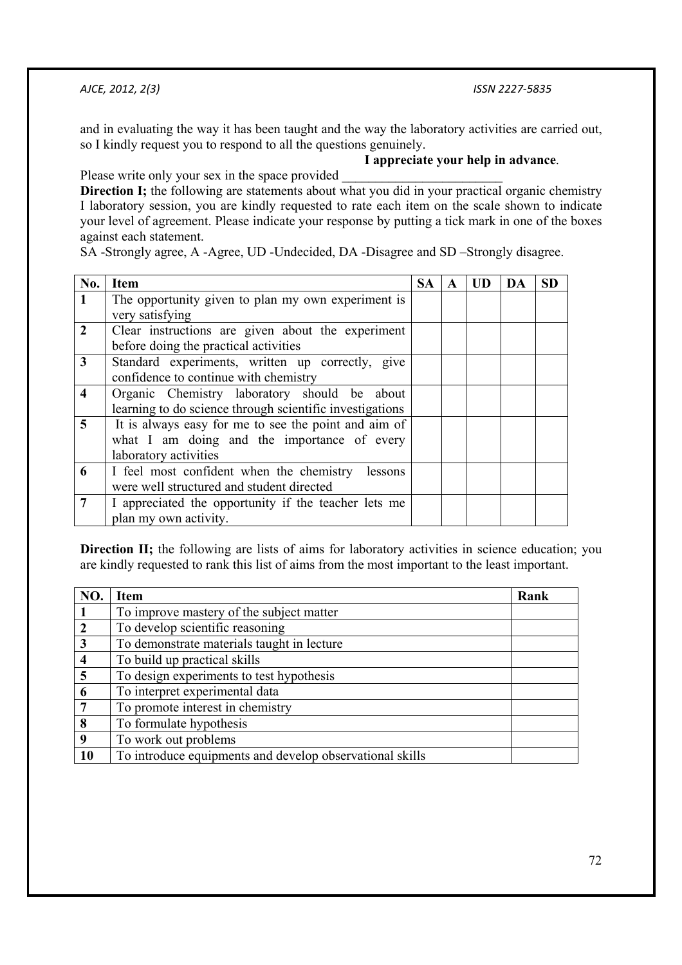and in evaluating the way it has been taught and the way the laboratory activities are carried out, so I kindly request you to respond to all the questions genuinely.

# **I appreciate your help in advance**.

Please write only your sex in the space provided

**Direction I;** the following are statements about what you did in your practical organic chemistry I laboratory session, you are kindly requested to rate each item on the scale shown to indicate your level of agreement. Please indicate your response by putting a tick mark in one of the boxes against each statement.

SA -Strongly agree, A -Agree, UD -Undecided, DA -Disagree and SD –Strongly disagree.

| No.                     | <b>Item</b>                                              | SА |  | UD | DA | SD |
|-------------------------|----------------------------------------------------------|----|--|----|----|----|
|                         | The opportunity given to plan my own experiment is       |    |  |    |    |    |
|                         | very satisfying                                          |    |  |    |    |    |
| $\overline{2}$          | Clear instructions are given about the experiment        |    |  |    |    |    |
|                         | before doing the practical activities                    |    |  |    |    |    |
| 3                       | Standard experiments, written up correctly, give         |    |  |    |    |    |
|                         | confidence to continue with chemistry                    |    |  |    |    |    |
| $\overline{\mathbf{4}}$ | Organic Chemistry laboratory should be about             |    |  |    |    |    |
|                         | learning to do science through scientific investigations |    |  |    |    |    |
| $\overline{5}$          | It is always easy for me to see the point and aim of     |    |  |    |    |    |
|                         | what I am doing and the importance of every              |    |  |    |    |    |
|                         | laboratory activities                                    |    |  |    |    |    |
| 6                       | I feel most confident when the chemistry<br>lessons      |    |  |    |    |    |
|                         | were well structured and student directed                |    |  |    |    |    |
| 7                       | I appreciated the opportunity if the teacher lets me     |    |  |    |    |    |
|                         | plan my own activity.                                    |    |  |    |    |    |

**Direction II;** the following are lists of aims for laboratory activities in science education; you are kindly requested to rank this list of aims from the most important to the least important.

| N <sub>O</sub> | Item                                                     | Rank |
|----------------|----------------------------------------------------------|------|
|                | To improve mastery of the subject matter                 |      |
| $\overline{2}$ | To develop scientific reasoning                          |      |
| $\mathbf{3}$   | To demonstrate materials taught in lecture               |      |
| $\overline{4}$ | To build up practical skills                             |      |
| 5              | To design experiments to test hypothesis                 |      |
| 6              | To interpret experimental data                           |      |
| 7              | To promote interest in chemistry                         |      |
| 8              | To formulate hypothesis                                  |      |
| 9              | To work out problems                                     |      |
| 10             | To introduce equipments and develop observational skills |      |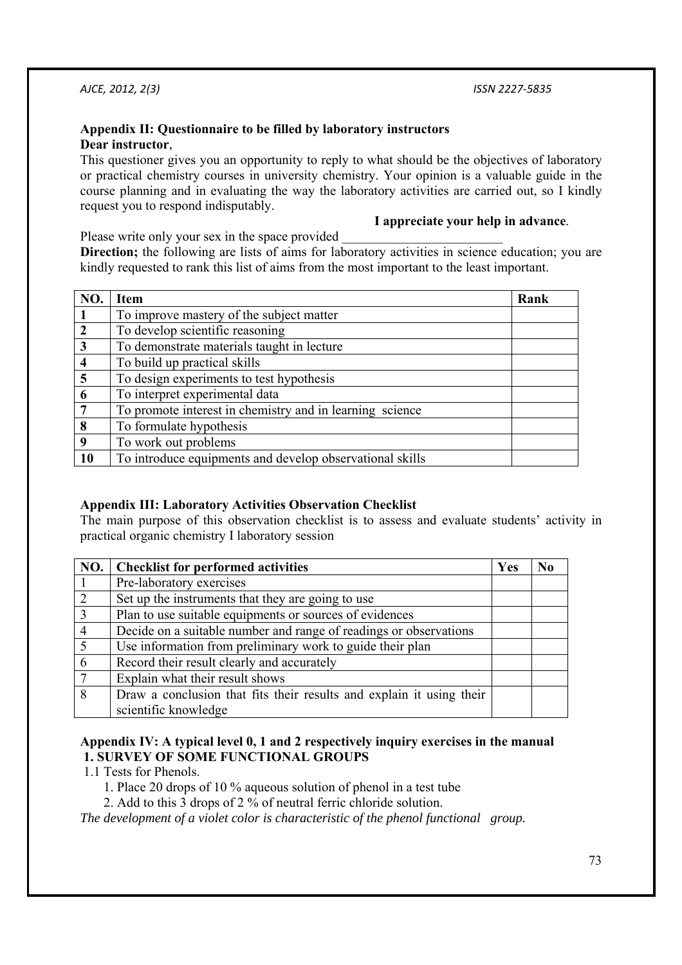## **Appendix II: Questionnaire to be filled by laboratory instructors Dear instructor**,

This questioner gives you an opportunity to reply to what should be the objectives of laboratory or practical chemistry courses in university chemistry. Your opinion is a valuable guide in the course planning and in evaluating the way the laboratory activities are carried out, so I kindly request you to respond indisputably.

## **I appreciate your help in advance**.

Please write only your sex in the space provided

**Direction;** the following are lists of aims for laboratory activities in science education; you are kindly requested to rank this list of aims from the most important to the least important.

| N <sub>O</sub>          | Item                                                     | Rank |
|-------------------------|----------------------------------------------------------|------|
|                         | To improve mastery of the subject matter                 |      |
| $\mathbf{2}$            | To develop scientific reasoning                          |      |
| $\overline{\mathbf{3}}$ | To demonstrate materials taught in lecture               |      |
| 4                       | To build up practical skills                             |      |
| 5                       | To design experiments to test hypothesis                 |      |
| 6                       | To interpret experimental data                           |      |
| 7                       | To promote interest in chemistry and in learning science |      |
| 8                       | To formulate hypothesis                                  |      |
| 9                       | To work out problems                                     |      |
| 10                      | To introduce equipments and develop observational skills |      |

## **Appendix III: Laboratory Activities Observation Checklist**

The main purpose of this observation checklist is to assess and evaluate students' activity in practical organic chemistry I laboratory session

| NO.            | <b>Checklist for performed activities</b>                            | Yes | N <sub>0</sub> |
|----------------|----------------------------------------------------------------------|-----|----------------|
|                | Pre-laboratory exercises                                             |     |                |
| 2              | Set up the instruments that they are going to use                    |     |                |
| $\overline{3}$ | Plan to use suitable equipments or sources of evidences              |     |                |
| $\overline{4}$ | Decide on a suitable number and range of readings or observations    |     |                |
| $\overline{5}$ | Use information from preliminary work to guide their plan            |     |                |
| 6              | Record their result clearly and accurately                           |     |                |
| $\overline{7}$ | Explain what their result shows                                      |     |                |
| $\overline{8}$ | Draw a conclusion that fits their results and explain it using their |     |                |
|                | scientific knowledge                                                 |     |                |

## **Appendix IV: A typical level 0, 1 and 2 respectively inquiry exercises in the manual 1. SURVEY OF SOME FUNCTIONAL GROUPS**

1.1 Tests for Phenols.

- 1. Place 20 drops of 10 % aqueous solution of phenol in a test tube
- 2. Add to this 3 drops of 2 % of neutral ferric chloride solution.

*The development of a violet color is characteristic of the phenol functional group.*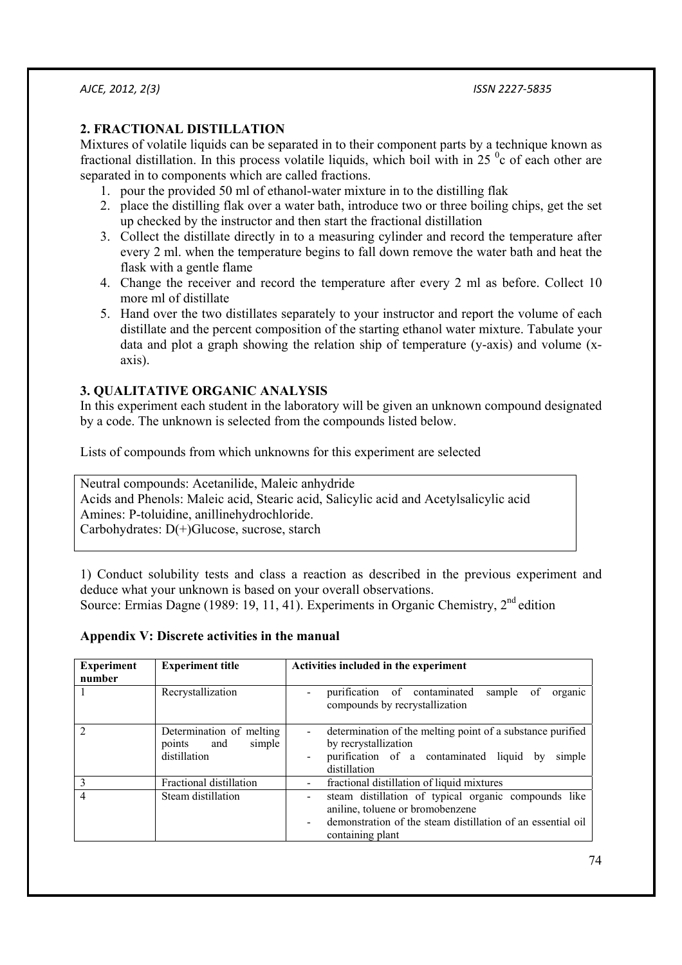## **2. FRACTIONAL DISTILLATION**

Mixtures of volatile liquids can be separated in to their component parts by a technique known as fractional distillation. In this process volatile liquids, which boil with in  $25<sup>o</sup>c$  of each other are separated in to components which are called fractions.

- 1. pour the provided 50 ml of ethanol-water mixture in to the distilling flak
- 2. place the distilling flak over a water bath, introduce two or three boiling chips, get the set up checked by the instructor and then start the fractional distillation
- 3. Collect the distillate directly in to a measuring cylinder and record the temperature after every 2 ml. when the temperature begins to fall down remove the water bath and heat the flask with a gentle flame
- 4. Change the receiver and record the temperature after every 2 ml as before. Collect 10 more ml of distillate
- 5. Hand over the two distillates separately to your instructor and report the volume of each distillate and the percent composition of the starting ethanol water mixture. Tabulate your data and plot a graph showing the relation ship of temperature (y-axis) and volume (xaxis).

## **3. QUALITATIVE ORGANIC ANALYSIS**

In this experiment each student in the laboratory will be given an unknown compound designated by a code. The unknown is selected from the compounds listed below.

Lists of compounds from which unknowns for this experiment are selected

Neutral compounds: Acetanilide, Maleic anhydride Acids and Phenols: Maleic acid, Stearic acid, Salicylic acid and Acetylsalicylic acid Amines: P-toluidine, anillinehydrochloride. Carbohydrates: D(+)Glucose, sucrose, starch

1) Conduct solubility tests and class a reaction as described in the previous experiment and deduce what your unknown is based on your overall observations. Source: Ermias Dagne (1989: 19, 11, 41). Experiments in Organic Chemistry,  $2<sup>nd</sup>$  edition

## **Appendix V: Discrete activities in the manual**

| <b>Experiment</b><br>number | <b>Experiment title</b>                                             | Activities included in the experiment                                                                                                                                       |
|-----------------------------|---------------------------------------------------------------------|-----------------------------------------------------------------------------------------------------------------------------------------------------------------------------|
|                             | Recrystallization                                                   | purification of contaminated<br>sample of<br>organic<br>compounds by recrystallization                                                                                      |
|                             | Determination of melting<br>and<br>simple<br>points<br>distillation | determination of the melting point of a substance purified<br>by recrystallization<br>purification of a contaminated liquid by<br>simple<br>distillation                    |
|                             | Fractional distillation                                             | fractional distillation of liquid mixtures                                                                                                                                  |
| 4                           | Steam distillation                                                  | steam distillation of typical organic compounds like<br>aniline, toluene or bromobenzene<br>demonstration of the steam distillation of an essential oil<br>containing plant |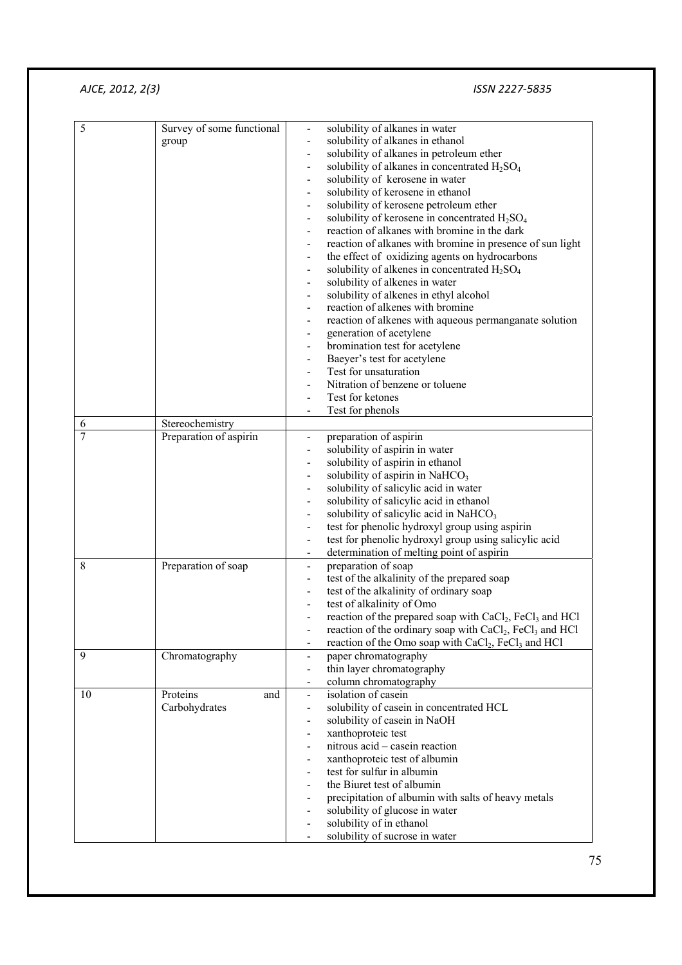| 5              | Survey of some functional | solubility of alkanes in water                                                                          |
|----------------|---------------------------|---------------------------------------------------------------------------------------------------------|
|                | group                     | solubility of alkanes in ethanol                                                                        |
|                |                           | solubility of alkanes in petroleum ether                                                                |
|                |                           | solubility of alkanes in concentrated H <sub>2</sub> SO <sub>4</sub>                                    |
|                |                           | solubility of kerosene in water<br>$\overline{\phantom{0}}$                                             |
|                |                           | solubility of kerosene in ethanol<br>$\qquad \qquad \blacksquare$                                       |
|                |                           | solubility of kerosene petroleum ether<br>$\qquad \qquad \blacksquare$                                  |
|                |                           | solubility of kerosene in concentrated H <sub>2</sub> SO <sub>4</sub><br>$\blacksquare$                 |
|                |                           | reaction of alkanes with bromine in the dark<br>$\blacksquare$                                          |
|                |                           | reaction of alkanes with bromine in presence of sun light                                               |
|                |                           | the effect of oxidizing agents on hydrocarbons<br>$\blacksquare$                                        |
|                |                           | solubility of alkenes in concentrated $H_2SO_4$                                                         |
|                |                           | $\qquad \qquad \blacksquare$                                                                            |
|                |                           | solubility of alkenes in water<br>$\qquad \qquad \blacksquare$                                          |
|                |                           | solubility of alkenes in ethyl alcohol<br>$\qquad \qquad \blacksquare$                                  |
|                |                           | reaction of alkenes with bromine                                                                        |
|                |                           | reaction of alkenes with aqueous permanganate solution                                                  |
|                |                           | generation of acetylene                                                                                 |
|                |                           | bromination test for acetylene                                                                          |
|                |                           | Baeyer's test for acetylene                                                                             |
|                |                           | Test for unsaturation<br>$\overline{\phantom{a}}$                                                       |
|                |                           | Nitration of benzene or toluene<br>$\blacksquare$                                                       |
|                |                           | Test for ketones<br>$\overline{\phantom{a}}$                                                            |
|                |                           | Test for phenols                                                                                        |
| 6              | Stereochemistry           |                                                                                                         |
| $\overline{7}$ | Preparation of aspirin    | preparation of aspirin<br>$\overline{\phantom{a}}$                                                      |
|                |                           | solubility of aspirin in water                                                                          |
|                |                           | solubility of aspirin in ethanol                                                                        |
|                |                           | solubility of aspirin in NaHCO <sub>3</sub>                                                             |
|                |                           | solubility of salicylic acid in water<br>$\qquad \qquad \blacksquare$                                   |
|                |                           | solubility of salicylic acid in ethanol<br>$\qquad \qquad \blacksquare$                                 |
|                |                           | solubility of salicylic acid in NaHCO <sub>3</sub><br>$\overline{\phantom{a}}$                          |
|                |                           | test for phenolic hydroxyl group using aspirin<br>$\qquad \qquad \blacksquare$                          |
|                |                           | test for phenolic hydroxyl group using salicylic acid<br>$\blacksquare$                                 |
|                |                           | determination of melting point of aspirin                                                               |
| 8              | Preparation of soap       | preparation of soap<br>$\blacksquare$                                                                   |
|                |                           | test of the alkalinity of the prepared soap<br>$\overline{\phantom{a}}$                                 |
|                |                           | test of the alkalinity of ordinary soap<br>$\blacksquare$                                               |
|                |                           | test of alkalinity of Omo                                                                               |
|                |                           | reaction of the prepared soap with CaCl <sub>2</sub> , FeCl <sub>3</sub> and HCl                        |
|                |                           | reaction of the ordinary soap with $CaCl2$ , FeCl <sub>3</sub> and HCl                                  |
|                |                           |                                                                                                         |
| 9              |                           | reaction of the Omo soap with CaCl <sub>2</sub> , FeCl <sub>3</sub> and HCl<br>$\overline{\phantom{0}}$ |
|                | Chromatography            | paper chromatography                                                                                    |
|                |                           | thin layer chromatography                                                                               |
|                |                           | column chromatography<br>$\overline{\phantom{a}}$                                                       |
| 10             | Proteins<br>and           | isolation of casein<br>$\blacksquare$                                                                   |
|                | Carbohydrates             | solubility of casein in concentrated HCL<br>$\overline{\phantom{0}}$                                    |
|                |                           | solubility of casein in NaOH<br>$\overline{\phantom{0}}$                                                |
|                |                           | xanthoproteic test                                                                                      |
|                |                           | nitrous acid - casein reaction                                                                          |
|                |                           | xanthoproteic test of albumin                                                                           |
|                |                           | test for sulfur in albumin                                                                              |
|                |                           | the Biuret test of albumin                                                                              |
|                |                           | precipitation of albumin with salts of heavy metals                                                     |
|                |                           | solubility of glucose in water                                                                          |
|                |                           | solubility of in ethanol                                                                                |
|                |                           | solubility of sucrose in water                                                                          |
|                |                           |                                                                                                         |